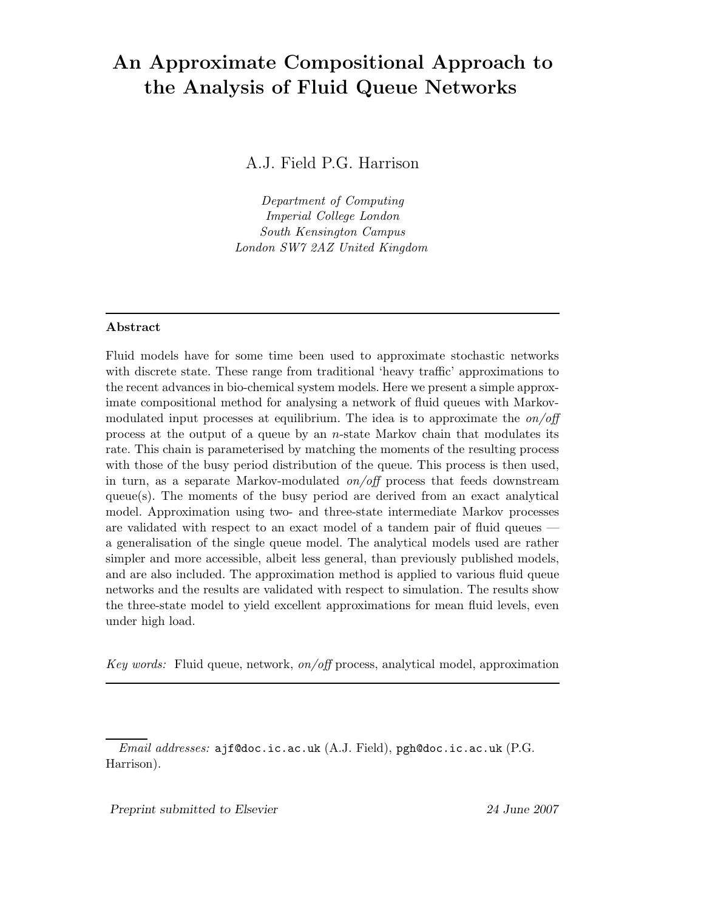# An Approximate Compositional Approach to the Analysis of Fluid Queue Networks

A.J. Field P.G. Harrison

Department of Computing Imperial College London South Kensington Campus London SW7 2AZ United Kingdom

#### Abstract

Fluid models have for some time been used to approximate stochastic networks with discrete state. These range from traditional 'heavy traffic' approximations to the recent advances in bio-chemical system models. Here we present a simple approximate compositional method for analysing a network of fluid queues with Markovmodulated input processes at equilibrium. The idea is to approximate the  $\frac{on}{off}$ process at the output of a queue by an n-state Markov chain that modulates its rate. This chain is parameterised by matching the moments of the resulting process with those of the busy period distribution of the queue. This process is then used, in turn, as a separate Markov-modulated  $on/off$  process that feeds downstream queue(s). The moments of the busy period are derived from an exact analytical model. Approximation using two- and three-state intermediate Markov processes are validated with respect to an exact model of a tandem pair of fluid queues a generalisation of the single queue model. The analytical models used are rather simpler and more accessible, albeit less general, than previously published models, and are also included. The approximation method is applied to various fluid queue networks and the results are validated with respect to simulation. The results show the three-state model to yield excellent approximations for mean fluid levels, even under high load.

Key words: Fluid queue, network,  $\partial f$  process, analytical model, approximation

Preprint submitted to Elsevier 24 June 2007

Email addresses:  $a$ jf@doc.ic.ac.uk (A.J. Field), pgh@doc.ic.ac.uk (P.G. Harrison).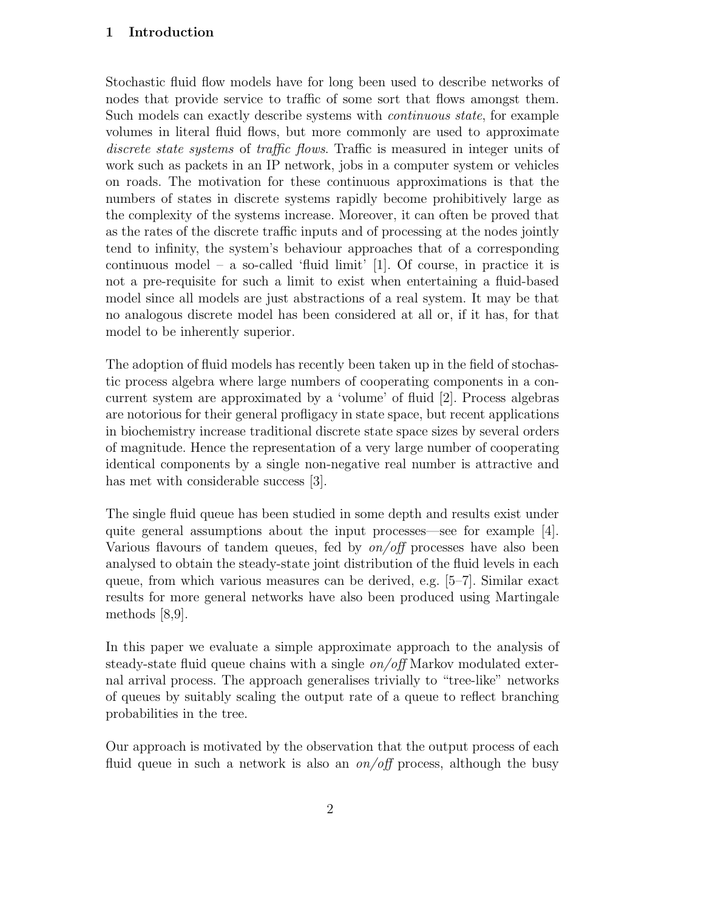#### 1 Introduction

Stochastic fluid flow models have for long been used to describe networks of nodes that provide service to traffic of some sort that flows amongst them. Such models can exactly describe systems with continuous state, for example volumes in literal fluid flows, but more commonly are used to approximate discrete state systems of traffic flows. Traffic is measured in integer units of work such as packets in an IP network, jobs in a computer system or vehicles on roads. The motivation for these continuous approximations is that the numbers of states in discrete systems rapidly become prohibitively large as the complexity of the systems increase. Moreover, it can often be proved that as the rates of the discrete traffic inputs and of processing at the nodes jointly tend to infinity, the system's behaviour approaches that of a corresponding continuous model – a so-called 'fluid limit' [1]. Of course, in practice it is not a pre-requisite for such a limit to exist when entertaining a fluid-based model since all models are just abstractions of a real system. It may be that no analogous discrete model has been considered at all or, if it has, for that model to be inherently superior.

The adoption of fluid models has recently been taken up in the field of stochastic process algebra where large numbers of cooperating components in a concurrent system are approximated by a 'volume' of fluid [2]. Process algebras are notorious for their general profligacy in state space, but recent applications in biochemistry increase traditional discrete state space sizes by several orders of magnitude. Hence the representation of a very large number of cooperating identical components by a single non-negative real number is attractive and has met with considerable success [3].

The single fluid queue has been studied in some depth and results exist under quite general assumptions about the input processes—see for example [4]. Various flavours of tandem queues, fed by  $on/off$  processes have also been analysed to obtain the steady-state joint distribution of the fluid levels in each queue, from which various measures can be derived, e.g. [5–7]. Similar exact results for more general networks have also been produced using Martingale methods [8,9].

In this paper we evaluate a simple approximate approach to the analysis of steady-state fluid queue chains with a single *on/off* Markov modulated external arrival process. The approach generalises trivially to "tree-like" networks of queues by suitably scaling the output rate of a queue to reflect branching probabilities in the tree.

Our approach is motivated by the observation that the output process of each fluid queue in such a network is also an  $\frac{on}{off}$  process, although the busy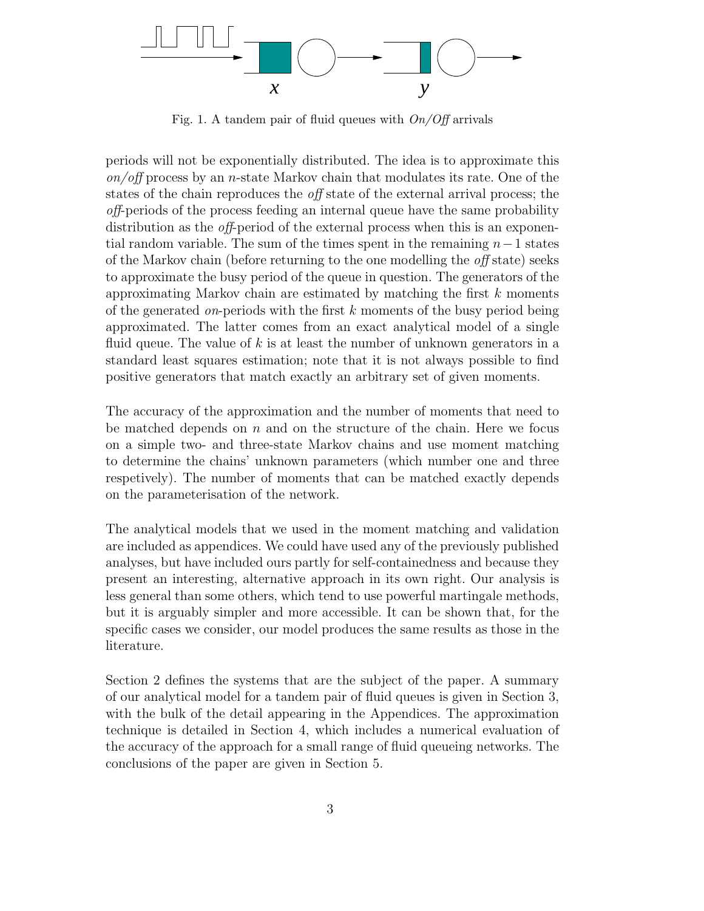

Fig. 1. A tandem pair of fluid queues with  $On/Off$  arrivals

periods will not be exponentially distributed. The idea is to approximate this  $\frac{\partial n}{\partial f}$  process by an *n*-state Markov chain that modulates its rate. One of the states of the chain reproduces the off state of the external arrival process; the off-periods of the process feeding an internal queue have the same probability distribution as the *off*-period of the external process when this is an exponential random variable. The sum of the times spent in the remaining  $n-1$  states of the Markov chain (before returning to the one modelling the off state) seeks to approximate the busy period of the queue in question. The generators of the approximating Markov chain are estimated by matching the first  $k$  moments of the generated on-periods with the first  $k$  moments of the busy period being approximated. The latter comes from an exact analytical model of a single fluid queue. The value of  $k$  is at least the number of unknown generators in a standard least squares estimation; note that it is not always possible to find positive generators that match exactly an arbitrary set of given moments.

The accuracy of the approximation and the number of moments that need to be matched depends on  $n$  and on the structure of the chain. Here we focus on a simple two- and three-state Markov chains and use moment matching to determine the chains' unknown parameters (which number one and three respetively). The number of moments that can be matched exactly depends on the parameterisation of the network.

The analytical models that we used in the moment matching and validation are included as appendices. We could have used any of the previously published analyses, but have included ours partly for self-containedness and because they present an interesting, alternative approach in its own right. Our analysis is less general than some others, which tend to use powerful martingale methods, but it is arguably simpler and more accessible. It can be shown that, for the specific cases we consider, our model produces the same results as those in the literature.

Section 2 defines the systems that are the subject of the paper. A summary of our analytical model for a tandem pair of fluid queues is given in Section 3, with the bulk of the detail appearing in the Appendices. The approximation technique is detailed in Section 4, which includes a numerical evaluation of the accuracy of the approach for a small range of fluid queueing networks. The conclusions of the paper are given in Section 5.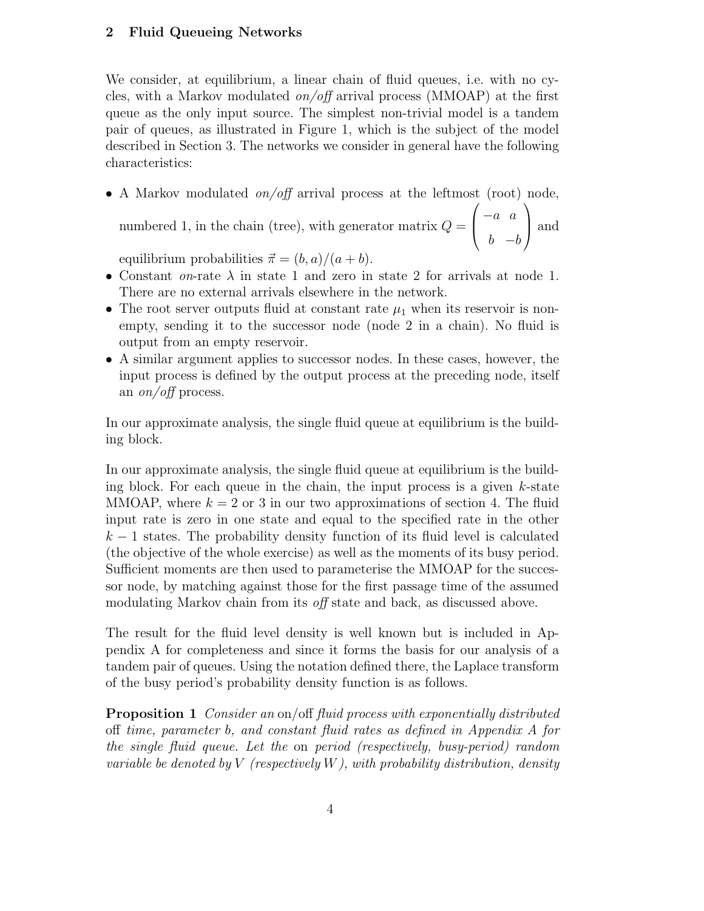## 2 Fluid Queueing Networks

We consider, at equilibrium, a linear chain of fluid queues, i.e. with no cycles, with a Markov modulated *on/off* arrival process (MMOAP) at the first queue as the only input source. The simplest non-trivial model is a tandem pair of queues, as illustrated in Figure 1, which is the subject of the model described in Section 3. The networks we consider in general have the following characteristics:

• A Markov modulated *on/off* arrival process at the leftmost (root) node,

numbered 1, in the chain (tree), with generator matrix  $Q =$  $\sqrt{ }$  $\overline{ }$ −a a  $b - b$  $\setminus$ and

equilibrium probabilities  $\vec{\pi} = (b, a)/(a + b)$ .

- Constant on-rate  $\lambda$  in state 1 and zero in state 2 for arrivals at node 1. There are no external arrivals elsewhere in the network.
- The root server outputs fluid at constant rate  $\mu_1$  when its reservoir is nonempty, sending it to the successor node (node 2 in a chain). No fluid is output from an empty reservoir.
- A similar argument applies to successor nodes. In these cases, however, the input process is defined by the output process at the preceding node, itself an *on/off* process.

In our approximate analysis, the single fluid queue at equilibrium is the building block.

In our approximate analysis, the single fluid queue at equilibrium is the building block. For each queue in the chain, the input process is a given  $k$ -state MMOAP, where  $k = 2$  or 3 in our two approximations of section 4. The fluid input rate is zero in one state and equal to the specified rate in the other  $k-1$  states. The probability density function of its fluid level is calculated (the objective of the whole exercise) as well as the moments of its busy period. Sufficient moments are then used to parameterise the MMOAP for the successor node, by matching against those for the first passage time of the assumed modulating Markov chain from its off state and back, as discussed above.

The result for the fluid level density is well known but is included in Appendix A for completeness and since it forms the basis for our analysis of a tandem pair of queues. Using the notation defined there, the Laplace transform of the busy period's probability density function is as follows.

Proposition 1 Consider an on/off fluid process with exponentially distributed off time, parameter b, and constant fluid rates as defined in Appendix A for the single fluid queue. Let the on period (respectively, busy-period) random variable be denoted by V (respectively  $W$ ), with probability distribution, density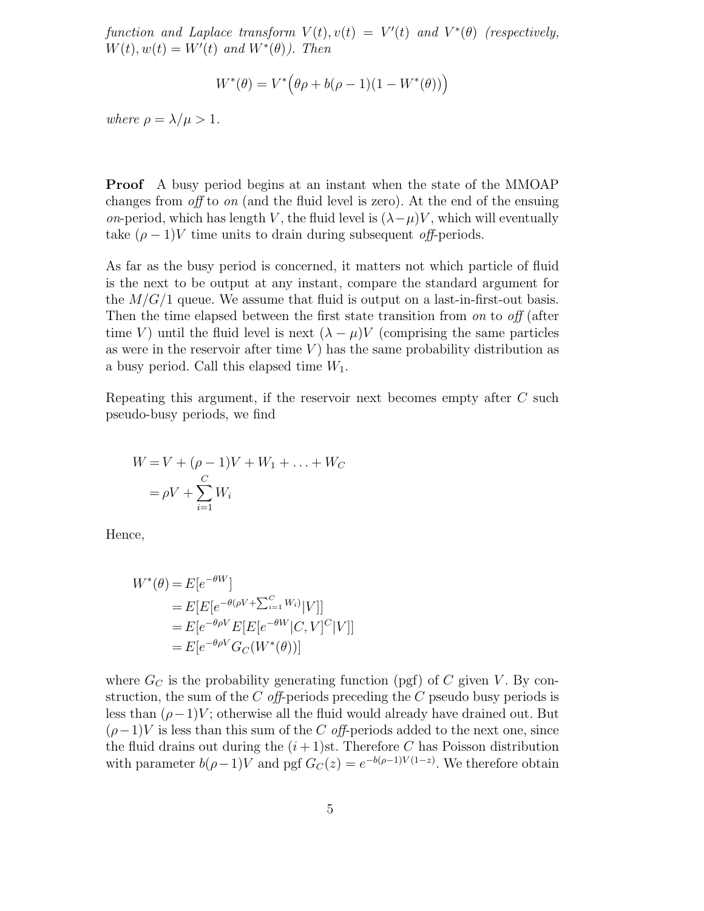function and Laplace transform  $V(t)$ ,  $v(t) = V'(t)$  and  $V^*(\theta)$  (respectively,  $W(t)$ ,  $w(t) = W'(t)$  and  $W^*(\theta)$ ). Then

$$
W^*(\theta) = V^*\big(\theta \rho + b(\rho - 1)(1 - W^*(\theta))\big)
$$

where  $\rho = \lambda/\mu > 1$ .

Proof A busy period begins at an instant when the state of the MMOAP changes from off to on (and the fluid level is zero). At the end of the ensuing on-period, which has length V, the fluid level is  $(\lambda - \mu)V$ , which will eventually take  $(\rho - 1)V$  time units to drain during subsequent *off*-periods.

As far as the busy period is concerned, it matters not which particle of fluid is the next to be output at any instant, compare the standard argument for the  $M/G/1$  queue. We assume that fluid is output on a last-in-first-out basis. Then the time elapsed between the first state transition from on to off (after time V) until the fluid level is next  $(\lambda - \mu)V$  (comprising the same particles as were in the reservoir after time  $V$ ) has the same probability distribution as a busy period. Call this elapsed time  $W_1$ .

Repeating this argument, if the reservoir next becomes empty after C such pseudo-busy periods, we find

$$
W = V + (\rho - 1)V + W_1 + \dots + W_C
$$
  
=  $\rho V + \sum_{i=1}^{C} W_i$ 

Hence,

$$
W^*(\theta) = E[e^{-\theta W}]
$$
  
=  $E[E[e^{-\theta(\rho V + \sum_{i=1}^C W_i)}|V]]$   
=  $E[e^{-\theta\rho V}E[E[e^{-\theta W}|C, V]^C|V]]$   
=  $E[e^{-\theta\rho V}G_C(W^*(\theta))]$ 

where  $G_C$  is the probability generating function (pgf) of C given V. By construction, the sum of the C off-periods preceding the C pseudo busy periods is less than  $(\rho-1)V$ ; otherwise all the fluid would already have drained out. But  $(\rho-1)V$  is less than this sum of the C off-periods added to the next one, since the fluid drains out during the  $(i + 1)$ st. Therefore C has Poisson distribution with parameter  $b(\rho-1)V$  and pgf  $G_C(z) = e^{-b(\rho-1)V(1-z)}$ . We therefore obtain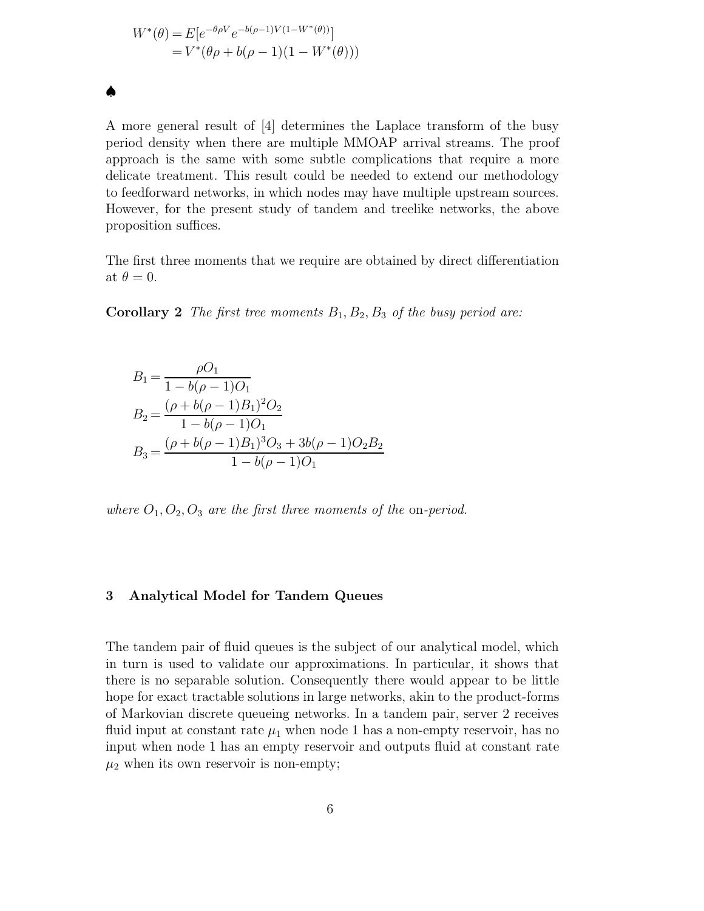$$
W^*(\theta) = E[e^{-\theta \rho V} e^{-b(\rho - 1)V(1 - W^*(\theta))}]
$$
  
=  $V^*(\theta \rho + b(\rho - 1)(1 - W^*(\theta)))$ 

♠

A more general result of [4] determines the Laplace transform of the busy period density when there are multiple MMOAP arrival streams. The proof approach is the same with some subtle complications that require a more delicate treatment. This result could be needed to extend our methodology to feedforward networks, in which nodes may have multiple upstream sources. However, for the present study of tandem and treelike networks, the above proposition suffices.

The first three moments that we require are obtained by direct differentiation at  $\theta = 0$ .

**Corollary 2** The first tree moments  $B_1, B_2, B_3$  of the busy period are:

$$
B_1 = \frac{\rho O_1}{1 - b(\rho - 1)O_1}
$$
  
\n
$$
B_2 = \frac{(\rho + b(\rho - 1)B_1)^2 O_2}{1 - b(\rho - 1)O_1}
$$
  
\n
$$
B_3 = \frac{(\rho + b(\rho - 1)B_1)^3 O_3 + 3b(\rho - 1)O_2 B_2}{1 - b(\rho - 1)O_1}
$$

where  $O_1, O_2, O_3$  are the first three moments of the on-period.

#### 3 Analytical Model for Tandem Queues

The tandem pair of fluid queues is the subject of our analytical model, which in turn is used to validate our approximations. In particular, it shows that there is no separable solution. Consequently there would appear to be little hope for exact tractable solutions in large networks, akin to the product-forms of Markovian discrete queueing networks. In a tandem pair, server 2 receives fluid input at constant rate  $\mu_1$  when node 1 has a non-empty reservoir, has no input when node 1 has an empty reservoir and outputs fluid at constant rate  $\mu_2$  when its own reservoir is non-empty;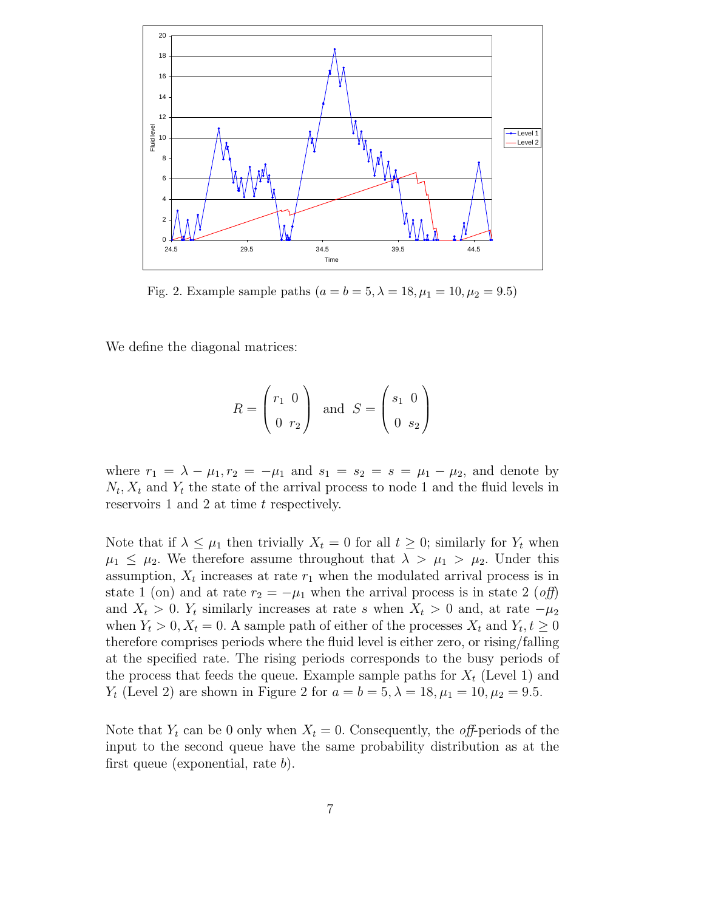

Fig. 2. Example sample paths  $(a = b = 5, \lambda = 18, \mu_1 = 10, \mu_2 = 9.5)$ 

We define the diagonal matrices:

$$
R = \begin{pmatrix} r_1 & 0 \\ 0 & r_2 \end{pmatrix} \text{ and } S = \begin{pmatrix} s_1 & 0 \\ 0 & s_2 \end{pmatrix}
$$

where  $r_1 = \lambda - \mu_1$ ,  $r_2 = -\mu_1$  and  $s_1 = s_2 = s = \mu_1 - \mu_2$ , and denote by  $N_t$ ,  $X_t$  and  $Y_t$  the state of the arrival process to node 1 and the fluid levels in reservoirs 1 and 2 at time t respectively.

Note that if  $\lambda \leq \mu_1$  then trivially  $X_t = 0$  for all  $t \geq 0$ ; similarly for  $Y_t$  when  $\mu_1 \leq \mu_2$ . We therefore assume throughout that  $\lambda > \mu_1 > \mu_2$ . Under this assumption,  $X_t$  increases at rate  $r_1$  when the modulated arrival process is in state 1 (on) and at rate  $r_2 = -\mu_1$  when the arrival process is in state 2 (*off*) and  $X_t > 0$ . Y<sub>t</sub> similarly increases at rate s when  $X_t > 0$  and, at rate  $-\mu_2$ when  $Y_t > 0, X_t = 0$ . A sample path of either of the processes  $X_t$  and  $Y_t, t \geq 0$ therefore comprises periods where the fluid level is either zero, or rising/falling at the specified rate. The rising periods corresponds to the busy periods of the process that feeds the queue. Example sample paths for  $X_t$  (Level 1) and  $Y_t$  (Level 2) are shown in Figure 2 for  $a = b = 5, \lambda = 18, \mu_1 = 10, \mu_2 = 9.5$ .

Note that  $Y_t$  can be 0 only when  $X_t = 0$ . Consequently, the *off*-periods of the input to the second queue have the same probability distribution as at the first queue (exponential, rate  $b$ ).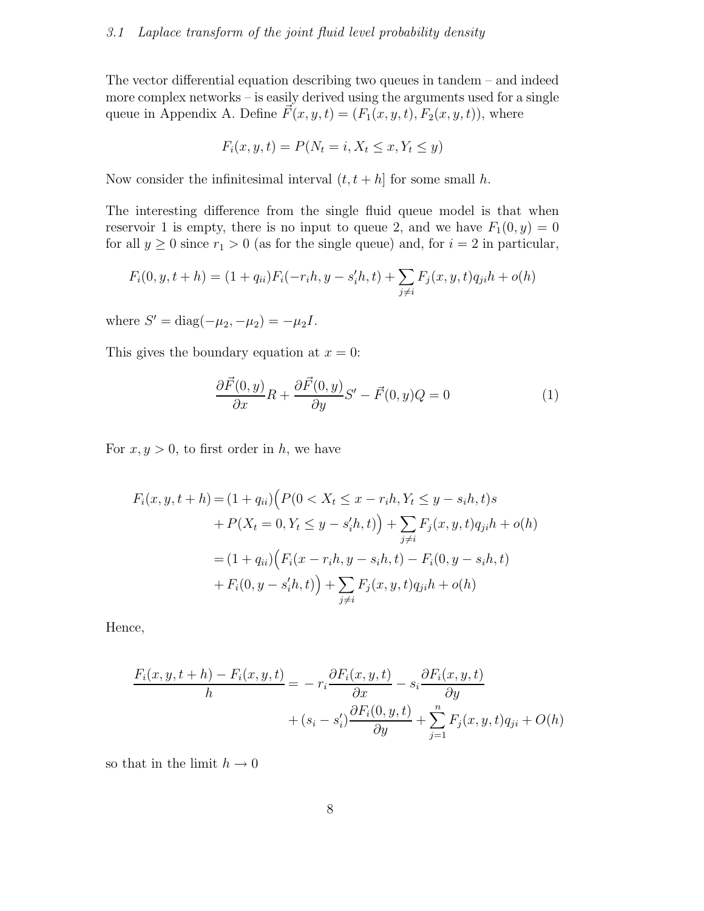The vector differential equation describing two queues in tandem – and indeed more complex networks – is easily derived using the arguments used for a single queue in Appendix A. Define  $\vec{F}(x, y, t) = (F_1(x, y, t), F_2(x, y, t))$ , where

$$
F_i(x, y, t) = P(N_t = i, X_t \le x, Y_t \le y)
$$

Now consider the infinitesimal interval  $(t, t + h)$  for some small h.

The interesting difference from the single fluid queue model is that when reservoir 1 is empty, there is no input to queue 2, and we have  $F_1(0, y) = 0$ for all  $y \ge 0$  since  $r_1 > 0$  (as for the single queue) and, for  $i = 2$  in particular,

$$
F_i(0, y, t + h) = (1 + q_{ii})F_i(-r_i h, y - s'_i h, t) + \sum_{j \neq i} F_j(x, y, t)q_{ji}h + o(h)
$$

where  $S' = \text{diag}(-\mu_2, -\mu_2) = -\mu_2 I$ .

This gives the boundary equation at  $x = 0$ :

$$
\frac{\partial \vec{F}(0, y)}{\partial x}R + \frac{\partial \vec{F}(0, y)}{\partial y}S' - \vec{F}(0, y)Q = 0
$$
\n(1)

For  $x, y > 0$ , to first order in h, we have

$$
F_i(x, y, t + h) = (1 + q_{ii}) \Big( P(0 < X_t \le x - r_i h, Y_t \le y - s_i h, t) s
$$
  
+ 
$$
P(X_t = 0, Y_t \le y - s'_i h, t) \Big) + \sum_{j \ne i} F_j(x, y, t) q_{ji} h + o(h)
$$
  
= 
$$
(1 + q_{ii}) \Big( F_i(x - r_i h, y - s_i h, t) - F_i(0, y - s_i h, t) + F_i(0, y - s'_i h, t) \Big) + \sum_{j \ne i} F_j(x, y, t) q_{ji} h + o(h)
$$

Hence,

$$
\frac{F_i(x, y, t+h) - F_i(x, y, t)}{h} = -r_i \frac{\partial F_i(x, y, t)}{\partial x} - s_i \frac{\partial F_i(x, y, t)}{\partial y} + (s_i - s'_i) \frac{\partial F_i(0, y, t)}{\partial y} + \sum_{j=1}^n F_j(x, y, t) q_{ji} + O(h)
$$

so that in the limit  $h \to 0$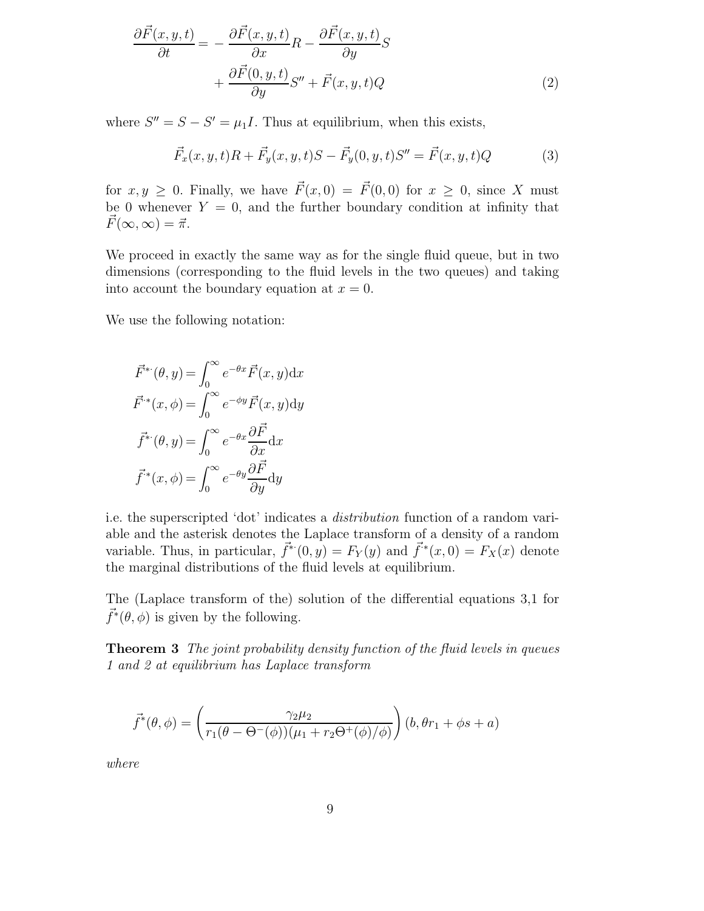$$
\frac{\partial \vec{F}(x, y, t)}{\partial t} = -\frac{\partial \vec{F}(x, y, t)}{\partial x} R - \frac{\partial \vec{F}(x, y, t)}{\partial y} S \n+ \frac{\partial \vec{F}(0, y, t)}{\partial y} S'' + \vec{F}(x, y, t) Q
$$
\n(2)

where  $S'' = S - S' = \mu_1 I$ . Thus at equilibrium, when this exists,

$$
\vec{F}_x(x, y, t)R + \vec{F}_y(x, y, t)S - \vec{F}_y(0, y, t)S'' = \vec{F}(x, y, t)Q
$$
\n(3)

for  $x, y \ge 0$ . Finally, we have  $\vec{F}(x, 0) = \vec{F}(0, 0)$  for  $x \ge 0$ , since X must be 0 whenever  $Y = 0$ , and the further boundary condition at infinity that  $\vec{F}(\infty, \infty) = \vec{\pi}.$ 

We proceed in exactly the same way as for the single fluid queue, but in two dimensions (corresponding to the fluid levels in the two queues) and taking into account the boundary equation at  $x = 0$ .

We use the following notation:

$$
\vec{F}^*(\theta, y) = \int_0^\infty e^{-\theta x} \vec{F}(x, y) dx
$$

$$
\vec{F}^*(x, \phi) = \int_0^\infty e^{-\phi y} \vec{F}(x, y) dy
$$

$$
\vec{f}^*(\theta, y) = \int_0^\infty e^{-\theta x} \frac{\partial \vec{F}}{\partial x} dx
$$

$$
\vec{f}^*(x, \phi) = \int_0^\infty e^{-\theta y} \frac{\partial \vec{F}}{\partial y} dy
$$

i.e. the superscripted 'dot' indicates a distribution function of a random variable and the asterisk denotes the Laplace transform of a density of a random variable. Thus, in particular,  $\vec{f}^*(0, y) = F_Y(y)$  and  $\vec{f}^*(x, 0) = F_X(x)$  denote the marginal distributions of the fluid levels at equilibrium.

The (Laplace transform of the) solution of the differential equations 3,1 for  $\vec{f}^*(\theta, \phi)$  is given by the following.

**Theorem 3** The joint probability density function of the fluid levels in queues 1 and 2 at equilibrium has Laplace transform

$$
\vec{f}^*(\theta,\phi) = \left(\frac{\gamma_2\mu_2}{r_1(\theta - \Theta^-(\phi))(\mu_1 + r_2\Theta^+(\phi)/\phi)}\right)(b,\theta r_1 + \phi s + a)
$$

where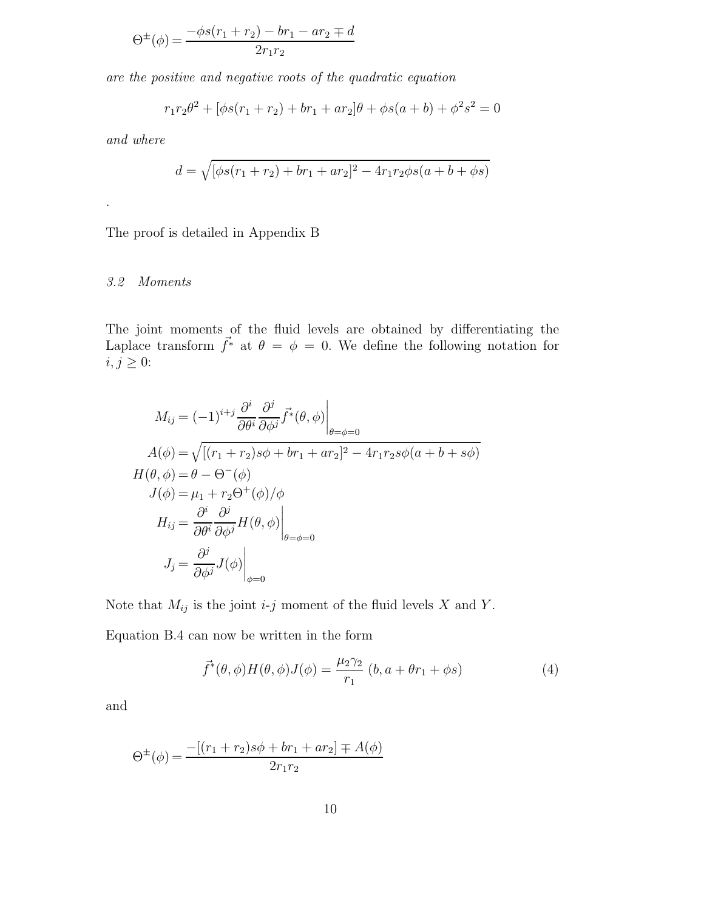$$
\Theta^{\pm}(\phi) = \frac{-\phi s(r_1 + r_2) - br_1 - ar_2 \mp d}{2r_1r_2}
$$

are the positive and negative roots of the quadratic equation

$$
r_1r_2\theta^2 + [\phi s(r_1 + r_2) + br_1 + ar_2]\theta + \phi s(a+b) + \phi^2 s^2 = 0
$$

and where

.

$$
d = \sqrt{[\phi s(r_1 + r_2) + br_1 + ar_2]^2 - 4r_1r_2\phi s(a + b + \phi s)}
$$

The proof is detailed in Appendix B

#### 3.2 Moments

The joint moments of the fluid levels are obtained by differentiating the Laplace transform  $\vec{f}^*$  at  $\theta = \phi = 0$ . We define the following notation for  $i,j\geq 0$  :

$$
M_{ij} = (-1)^{i+j} \frac{\partial^i}{\partial \theta^i} \frac{\partial^j}{\partial \phi^j} \vec{f}^*(\theta, \phi) \Big|_{\theta = \phi = 0}
$$
  
\n
$$
A(\phi) = \sqrt{[(r_1 + r_2)s\phi + br_1 + ar_2]^2 - 4r_1r_2s\phi(a + b + s\phi)}
$$
  
\n
$$
H(\theta, \phi) = \theta - \Theta^-(\phi)
$$
  
\n
$$
J(\phi) = \mu_1 + r_2\Theta^+(\phi)/\phi
$$
  
\n
$$
H_{ij} = \frac{\partial^i}{\partial \theta^i} \frac{\partial^j}{\partial \phi^j} H(\theta, \phi) \Big|_{\theta = \phi = 0}
$$
  
\n
$$
J_j = \frac{\partial^j}{\partial \phi^j} J(\phi) \Big|_{\phi = 0}
$$

Note that  $M_{ij}$  is the joint *i-j* moment of the fluid levels X and Y.

Equation B.4 can now be written in the form

$$
\vec{f}^*(\theta,\phi)H(\theta,\phi)J(\phi) = \frac{\mu_2\gamma_2}{r_1} (b, a + \theta r_1 + \phi s)
$$
 (4)

and

$$
\Theta^{\pm}(\phi) = \frac{-[(r_1 + r_2)s\phi + br_1 + ar_2] \mp A(\phi)}{2r_1r_2}
$$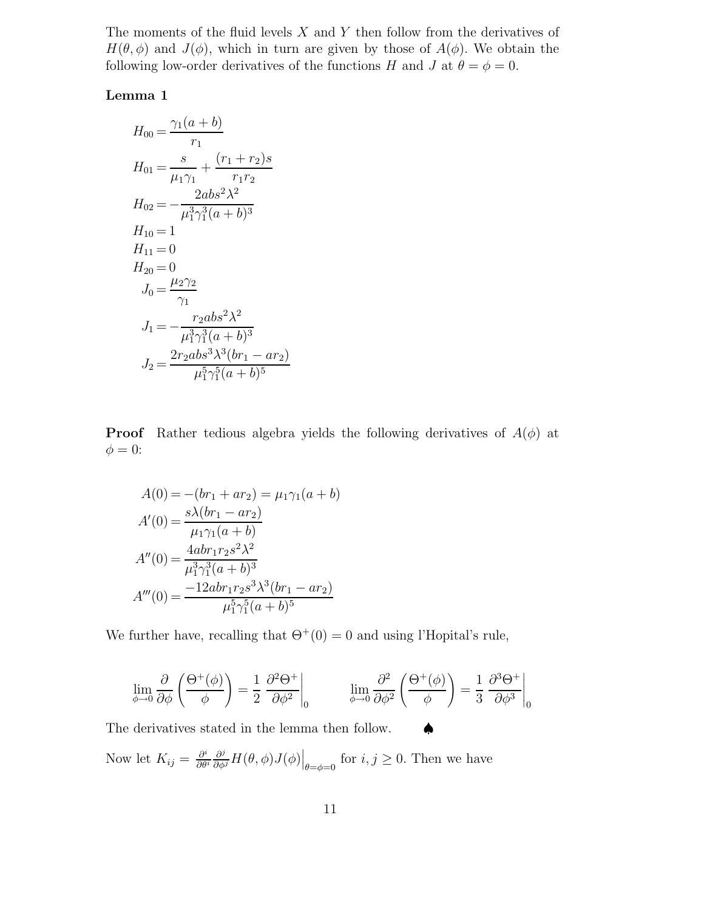The moments of the fluid levels  $X$  and  $Y$  then follow from the derivatives of  $H(\theta, \phi)$  and  $J(\phi)$ , which in turn are given by those of  $A(\phi)$ . We obtain the following low-order derivatives of the functions H and J at  $\theta = \phi = 0$ .

# Lemma 1

$$
H_{00} = \frac{\gamma_1(a+b)}{r_1}
$$
  
\n
$$
H_{01} = \frac{s}{\mu_1 \gamma_1} + \frac{(r_1 + r_2)s}{r_1 r_2}
$$
  
\n
$$
H_{02} = -\frac{2abs^2 \lambda^2}{\mu_1^3 \gamma_1^3 (a+b)^3}
$$
  
\n
$$
H_{10} = 1
$$
  
\n
$$
H_{11} = 0
$$
  
\n
$$
H_{20} = 0
$$
  
\n
$$
J_0 = \frac{\mu_2 \gamma_2}{\gamma_1}
$$
  
\n
$$
J_1 = -\frac{r_2 abs^2 \lambda^2}{\mu_1^3 \gamma_1^3 (a+b)^3}
$$
  
\n
$$
J_2 = \frac{2r_2 abs^3 \lambda^3 (br_1 - ar_2)}{\mu_1^5 \gamma_1^5 (a+b)^5}
$$

**Proof** Rather tedious algebra yields the following derivatives of  $A(\phi)$  at  $\phi = 0$ :

$$
A(0) = -(br_1 + ar_2) = \mu_1 \gamma_1 (a+b)
$$
  
\n
$$
A'(0) = \frac{s\lambda (br_1 - ar_2)}{\mu_1 \gamma_1 (a+b)}
$$
  
\n
$$
A''(0) = \frac{4abr_1r_2s^2\lambda^2}{\mu_1^3 \gamma_1^3 (a+b)^3}
$$
  
\n
$$
A'''(0) = \frac{-12abr_1r_2s^3\lambda^3(br_1 - ar_2)}{\mu_1^5 \gamma_1^5 (a+b)^5}
$$

We further have, recalling that  $\Theta^+(0) = 0$  and using l'Hopital's rule,

$$
\lim_{\phi \to 0} \frac{\partial}{\partial \phi} \left( \frac{\Theta^+(\phi)}{\phi} \right) = \frac{1}{2} \left. \frac{\partial^2 \Theta^+}{\partial \phi^2} \right|_0 \qquad \lim_{\phi \to 0} \frac{\partial^2}{\partial \phi^2} \left( \frac{\Theta^+(\phi)}{\phi} \right) = \frac{1}{3} \left. \frac{\partial^3 \Theta^+}{\partial \phi^3} \right|_0
$$

The derivatives stated in the lemma then follow.  $\bullet$ 

Now let 
$$
K_{ij} = \frac{\partial^i}{\partial \theta^i} \frac{\partial^j}{\partial \phi^j} H(\theta, \phi) J(\phi) \Big|_{\theta = \phi = 0}
$$
 for  $i, j \ge 0$ . Then we have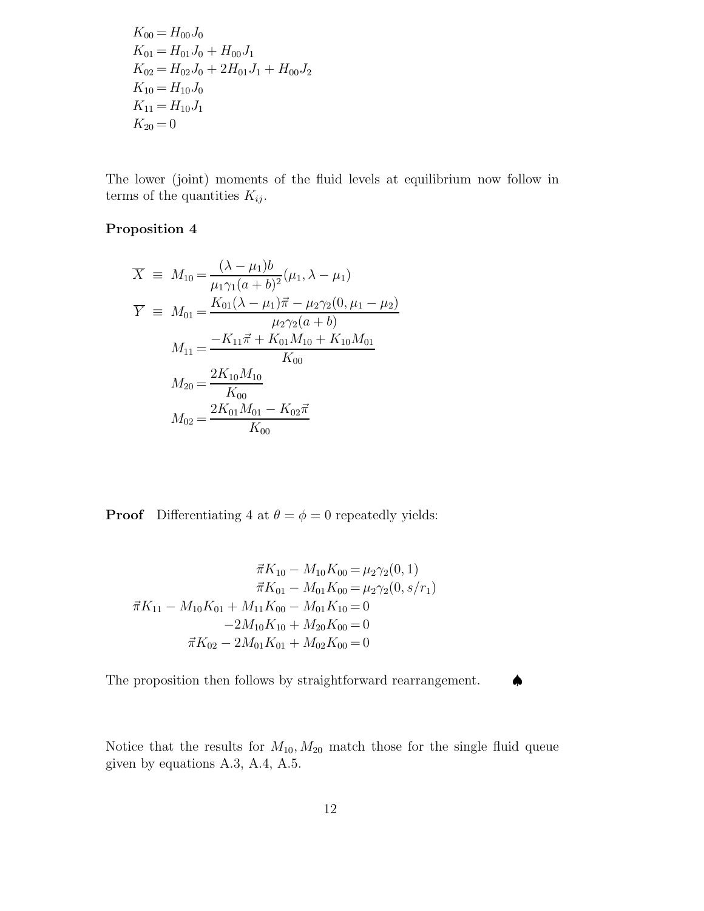$$
K_{00} = H_{00}J_0
$$
  
\n
$$
K_{01} = H_{01}J_0 + H_{00}J_1
$$
  
\n
$$
K_{02} = H_{02}J_0 + 2H_{01}J_1 + H_{00}J_2
$$
  
\n
$$
K_{10} = H_{10}J_0
$$
  
\n
$$
K_{11} = H_{10}J_1
$$
  
\n
$$
K_{20} = 0
$$

The lower (joint) moments of the fluid levels at equilibrium now follow in terms of the quantities  $K_{ij}$ .

# Proposition 4

$$
\overline{X} \equiv M_{10} = \frac{(\lambda - \mu_1)b}{\mu_1 \gamma_1 (a + b)^2} (\mu_1, \lambda - \mu_1)
$$
  

$$
\overline{Y} \equiv M_{01} = \frac{K_{01}(\lambda - \mu_1)\vec{\pi} - \mu_2 \gamma_2 (0, \mu_1 - \mu_2)}{\mu_2 \gamma_2 (a + b)}
$$
  

$$
M_{11} = \frac{-K_{11}\vec{\pi} + K_{01}M_{10} + K_{10}M_{01}}{K_{00}}
$$
  

$$
M_{20} = \frac{2K_{10}M_{10}}{K_{00}}
$$
  

$$
M_{02} = \frac{2K_{01}M_{01} - K_{02}\vec{\pi}}{K_{00}}
$$

**Proof** Differentiating 4 at  $\theta = \phi = 0$  repeatedly yields:

$$
\vec{\pi}K_{10} - M_{10}K_{00} = \mu_2 \gamma_2(0, 1)
$$

$$
\vec{\pi}K_{01} - M_{01}K_{00} = \mu_2 \gamma_2(0, s/r_1)
$$

$$
\vec{\pi}K_{11} - M_{10}K_{01} + M_{11}K_{00} - M_{01}K_{10} = 0
$$

$$
-2M_{10}K_{10} + M_{20}K_{00} = 0
$$

$$
\vec{\pi}K_{02} - 2M_{01}K_{01} + M_{02}K_{00} = 0
$$

The proposition then follows by straightforward rearrangement.

Notice that the results for  $M_{10}$ ,  $M_{20}$  match those for the single fluid queue given by equations A.3, A.4, A.5.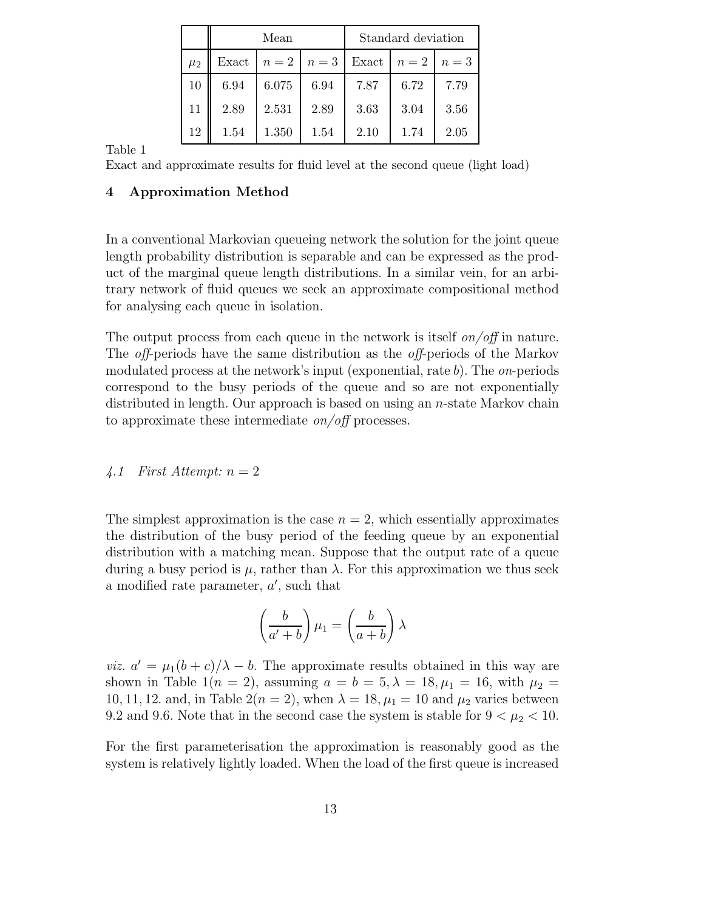|         | Mean  |       |       | Standard deviation |       |       |  |
|---------|-------|-------|-------|--------------------|-------|-------|--|
| $\mu_2$ | Exact | $n=2$ | $n=3$ | Exact              | $n=2$ | $n=3$ |  |
| 10      | 6.94  | 6.075 | 6.94  | 7.87               | 6.72  | 7.79  |  |
| 11      | 2.89  | 2.531 | 2.89  | 3.63               | 3.04  | 3.56  |  |
| 12      | 1.54  | 1.350 | 1.54  | 2.10               | 1.74  | 2.05  |  |

Table 1

Exact and approximate results for fluid level at the second queue (light load)

## 4 Approximation Method

In a conventional Markovian queueing network the solution for the joint queue length probability distribution is separable and can be expressed as the product of the marginal queue length distributions. In a similar vein, for an arbitrary network of fluid queues we seek an approximate compositional method for analysing each queue in isolation.

The output process from each queue in the network is itself  $on/off$  in nature. The off-periods have the same distribution as the off-periods of the Markov modulated process at the network's input (exponential, rate  $b$ ). The *on*-periods correspond to the busy periods of the queue and so are not exponentially distributed in length. Our approach is based on using an n-state Markov chain to approximate these intermediate  $\frac{\partial n}{\partial f}$  processes.

## 4.1 First Attempt:  $n = 2$

The simplest approximation is the case  $n = 2$ , which essentially approximates the distribution of the busy period of the feeding queue by an exponential distribution with a matching mean. Suppose that the output rate of a queue during a busy period is  $\mu$ , rather than  $\lambda$ . For this approximation we thus seek a modified rate parameter,  $a'$ , such that

$$
\left(\frac{b}{a'+b}\right)\mu_1 = \left(\frac{b}{a+b}\right)\lambda
$$

*viz.*  $a' = \mu_1(b+c)/\lambda - b$ . The approximate results obtained in this way are shown in Table 1( $n = 2$ ), assuming  $a = b = 5, \lambda = 18, \mu_1 = 16$ , with  $\mu_2 =$ 10, 11, 12. and, in Table 2( $n = 2$ ), when  $\lambda = 18$ ,  $\mu_1 = 10$  and  $\mu_2$  varies between 9.2 and 9.6. Note that in the second case the system is stable for  $9 < \mu_2 < 10$ .

For the first parameterisation the approximation is reasonably good as the system is relatively lightly loaded. When the load of the first queue is increased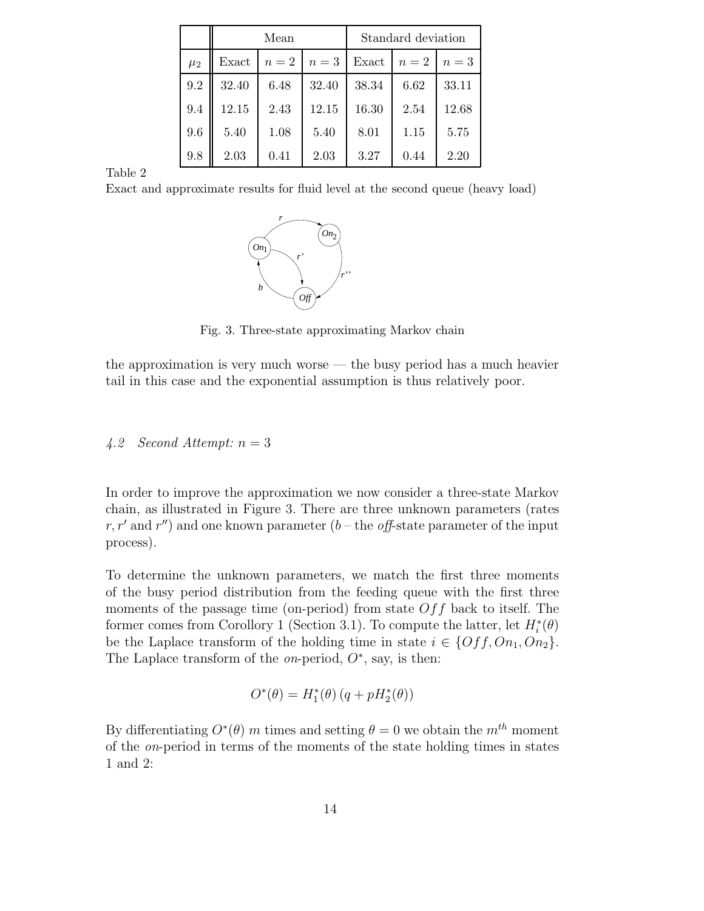|         | Mean  |       |       | Standard deviation |       |       |  |
|---------|-------|-------|-------|--------------------|-------|-------|--|
| $\mu_2$ | Exact | $n=2$ | $n=3$ | Exact              | $n=2$ | $n=3$ |  |
| 9.2     | 32.40 | 6.48  | 32.40 | 38.34              | 6.62  | 33.11 |  |
| 9.4     | 12.15 | 2.43  | 12.15 | 16.30              | 2.54  | 12.68 |  |
| 9.6     | 5.40  | 1.08  | 5.40  | 8.01               | 1.15  | 5.75  |  |
| 9.8     | 2.03  | 0.41  | 2.03  | 3.27               | 0.44  | 2.20  |  |

Table 2

Exact and approximate results for fluid level at the second queue (heavy load)



Fig. 3. Three-state approximating Markov chain

the approximation is very much worse — the busy period has a much heavier tail in this case and the exponential assumption is thus relatively poor.

4.2 Second Attempt:  $n = 3$ 

In order to improve the approximation we now consider a three-state Markov chain, as illustrated in Figure 3. There are three unknown parameters (rates r, r' and r'') and one known parameter ( $b$  – the *off*-state parameter of the input process).

To determine the unknown parameters, we match the first three moments of the busy period distribution from the feeding queue with the first three moments of the passage time (on-period) from state  $Off$  back to itself. The former comes from Corollory 1 (Section 3.1). To compute the latter, let  $H_i^*(\theta)$ be the Laplace transform of the holding time in state  $i \in \{Off, On_1, On_2\}.$ The Laplace transform of the on-period,  $O^*$ , say, is then:

$$
O^*(\theta) = H_1^*(\theta) \left( q + p H_2^*(\theta) \right)
$$

By differentiating  $O^*(\theta)$  m times and setting  $\theta = 0$  we obtain the  $m^{th}$  moment of the on-period in terms of the moments of the state holding times in states 1 and 2: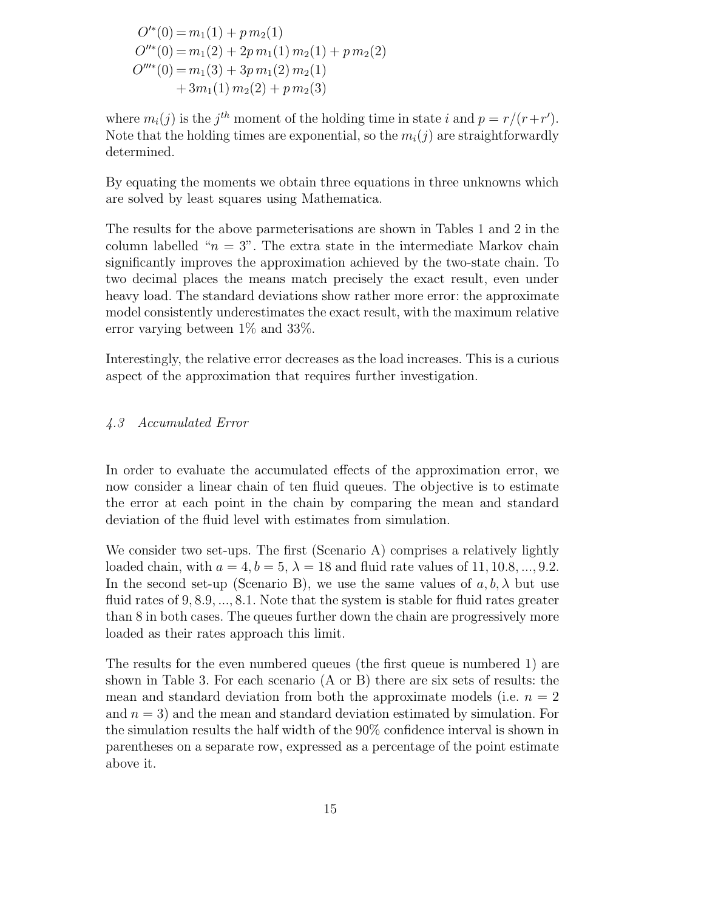$$
O'^{*}(0) = m_1(1) + p m_2(1)
$$
  
\n
$$
O''^{*}(0) = m_1(2) + 2p m_1(1) m_2(1) + p m_2(2)
$$
  
\n
$$
O'''^{*}(0) = m_1(3) + 3p m_1(2) m_2(1)
$$
  
\n
$$
+ 3m_1(1) m_2(2) + p m_2(3)
$$

where  $m_i(j)$  is the j<sup>th</sup> moment of the holding time in state i and  $p = r/(r+r')$ . Note that the holding times are exponential, so the  $m_i(j)$  are straightforwardly determined.

By equating the moments we obtain three equations in three unknowns which are solved by least squares using Mathematica.

The results for the above parmeterisations are shown in Tables 1 and 2 in the column labelled " $n = 3$ ". The extra state in the intermediate Markov chain significantly improves the approximation achieved by the two-state chain. To two decimal places the means match precisely the exact result, even under heavy load. The standard deviations show rather more error: the approximate model consistently underestimates the exact result, with the maximum relative error varying between 1% and 33%.

Interestingly, the relative error decreases as the load increases. This is a curious aspect of the approximation that requires further investigation.

# 4.3 Accumulated Error

In order to evaluate the accumulated effects of the approximation error, we now consider a linear chain of ten fluid queues. The objective is to estimate the error at each point in the chain by comparing the mean and standard deviation of the fluid level with estimates from simulation.

We consider two set-ups. The first (Scenario A) comprises a relatively lightly loaded chain, with  $a = 4, b = 5, \lambda = 18$  and fluid rate values of 11, 10.8, ..., 9.2. In the second set-up (Scenario B), we use the same values of  $a, b, \lambda$  but use fluid rates of 9, 8.9, ..., 8.1. Note that the system is stable for fluid rates greater than 8 in both cases. The queues further down the chain are progressively more loaded as their rates approach this limit.

The results for the even numbered queues (the first queue is numbered 1) are shown in Table 3. For each scenario (A or B) there are six sets of results: the mean and standard deviation from both the approximate models (i.e.  $n = 2$ ) and  $n = 3$ ) and the mean and standard deviation estimated by simulation. For the simulation results the half width of the 90% confidence interval is shown in parentheses on a separate row, expressed as a percentage of the point estimate above it.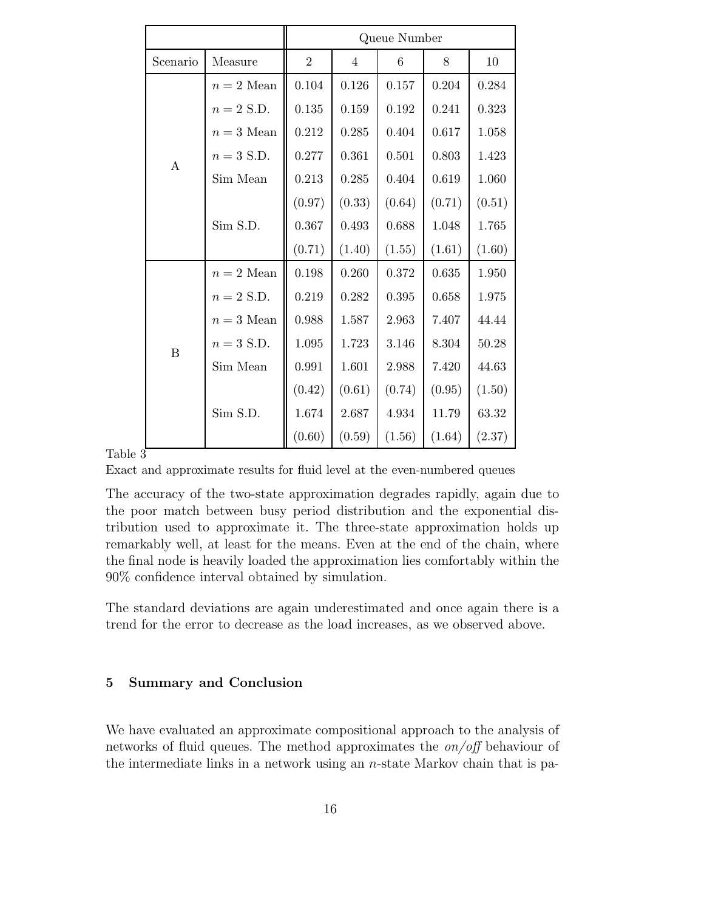|                  |              | Queue Number   |                |           |        |        |  |
|------------------|--------------|----------------|----------------|-----------|--------|--------|--|
| Scenario         | Measure      | $\overline{2}$ | $\overline{4}$ | 6         | 8      | 10     |  |
|                  | $n=2$ Mean   | 0.104          | $0.126\,$      | 0.157     | 0.204  | 0.284  |  |
|                  | $n = 2$ S.D. | 0.135          | 0.159          | $0.192\,$ | 0.241  | 0.323  |  |
|                  | $n=3$ Mean   | 0.212          | 0.285          | 0.404     | 0.617  | 1.058  |  |
| $\boldsymbol{A}$ | $n = 3$ S.D. | 0.277          | 0.361          | $0.501\,$ | 0.803  | 1.423  |  |
|                  | Sim Mean     | 0.213          | 0.285          | 0.404     | 0.619  | 1.060  |  |
|                  |              | (0.97)         | (0.33)         | (0.64)    | (0.71) | (0.51) |  |
|                  | Sim S.D.     | 0.367          | 0.493          | 0.688     | 1.048  | 1.765  |  |
|                  |              | (0.71)         | (1.40)         | (1.55)    | (1.61) | (1.60) |  |
|                  | $n=2$ Mean   | 0.198          | 0.260          | 0.372     | 0.635  | 1.950  |  |
|                  | $n = 2$ S.D. | 0.219          | 0.282          | $0.395\,$ | 0.658  | 1.975  |  |
|                  | $n=3$ Mean   | 0.988          | 1.587          | 2.963     | 7.407  | 44.44  |  |
| B                | $n = 3$ S.D. | 1.095          | 1.723          | 3.146     | 8.304  | 50.28  |  |
|                  | Sim Mean     | 0.991          | 1.601          | 2.988     | 7.420  | 44.63  |  |
|                  |              | (0.42)         | (0.61)         | (0.74)    | (0.95) | (1.50) |  |
|                  | Sim S.D.     | 1.674          | 2.687          | 4.934     | 11.79  | 63.32  |  |
|                  |              | (0.60)         | (0.59)         | (1.56)    | (1.64) | (2.37) |  |

Table 3

Exact and approximate results for fluid level at the even-numbered queues

The accuracy of the two-state approximation degrades rapidly, again due to the poor match between busy period distribution and the exponential distribution used to approximate it. The three-state approximation holds up remarkably well, at least for the means. Even at the end of the chain, where the final node is heavily loaded the approximation lies comfortably within the 90% confidence interval obtained by simulation.

The standard deviations are again underestimated and once again there is a trend for the error to decrease as the load increases, as we observed above.

#### 5 Summary and Conclusion

We have evaluated an approximate compositional approach to the analysis of networks of fluid queues. The method approximates the on/off behaviour of the intermediate links in a network using an  $n$ -state Markov chain that is pa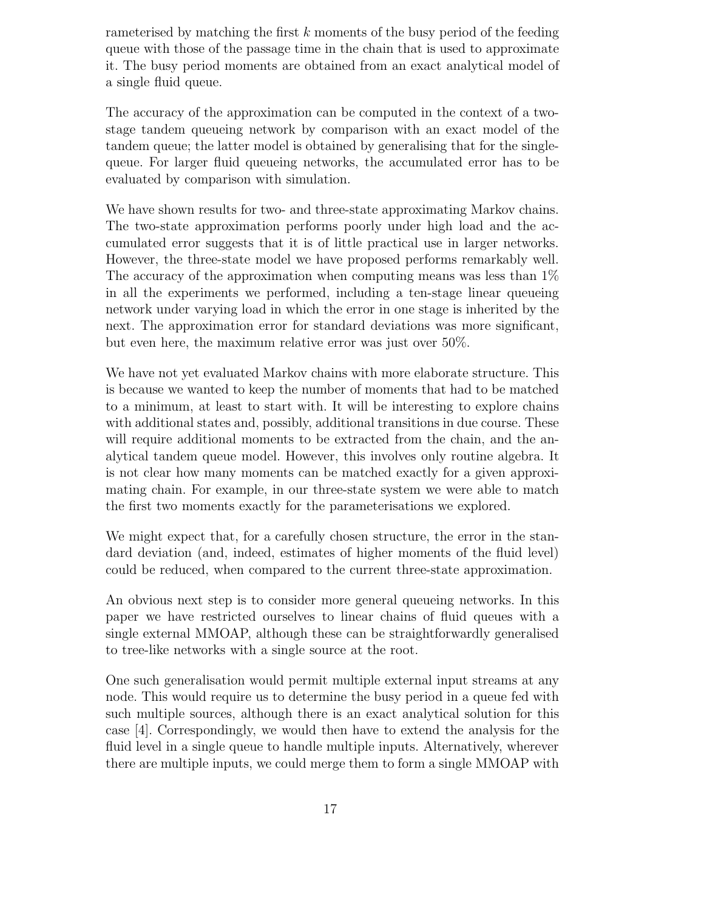rameterised by matching the first k moments of the busy period of the feeding queue with those of the passage time in the chain that is used to approximate it. The busy period moments are obtained from an exact analytical model of a single fluid queue.

The accuracy of the approximation can be computed in the context of a twostage tandem queueing network by comparison with an exact model of the tandem queue; the latter model is obtained by generalising that for the singlequeue. For larger fluid queueing networks, the accumulated error has to be evaluated by comparison with simulation.

We have shown results for two- and three-state approximating Markov chains. The two-state approximation performs poorly under high load and the accumulated error suggests that it is of little practical use in larger networks. However, the three-state model we have proposed performs remarkably well. The accuracy of the approximation when computing means was less than  $1\%$ in all the experiments we performed, including a ten-stage linear queueing network under varying load in which the error in one stage is inherited by the next. The approximation error for standard deviations was more significant, but even here, the maximum relative error was just over 50%.

We have not yet evaluated Markov chains with more elaborate structure. This is because we wanted to keep the number of moments that had to be matched to a minimum, at least to start with. It will be interesting to explore chains with additional states and, possibly, additional transitions in due course. These will require additional moments to be extracted from the chain, and the analytical tandem queue model. However, this involves only routine algebra. It is not clear how many moments can be matched exactly for a given approximating chain. For example, in our three-state system we were able to match the first two moments exactly for the parameterisations we explored.

We might expect that, for a carefully chosen structure, the error in the standard deviation (and, indeed, estimates of higher moments of the fluid level) could be reduced, when compared to the current three-state approximation.

An obvious next step is to consider more general queueing networks. In this paper we have restricted ourselves to linear chains of fluid queues with a single external MMOAP, although these can be straightforwardly generalised to tree-like networks with a single source at the root.

One such generalisation would permit multiple external input streams at any node. This would require us to determine the busy period in a queue fed with such multiple sources, although there is an exact analytical solution for this case [4]. Correspondingly, we would then have to extend the analysis for the fluid level in a single queue to handle multiple inputs. Alternatively, wherever there are multiple inputs, we could merge them to form a single MMOAP with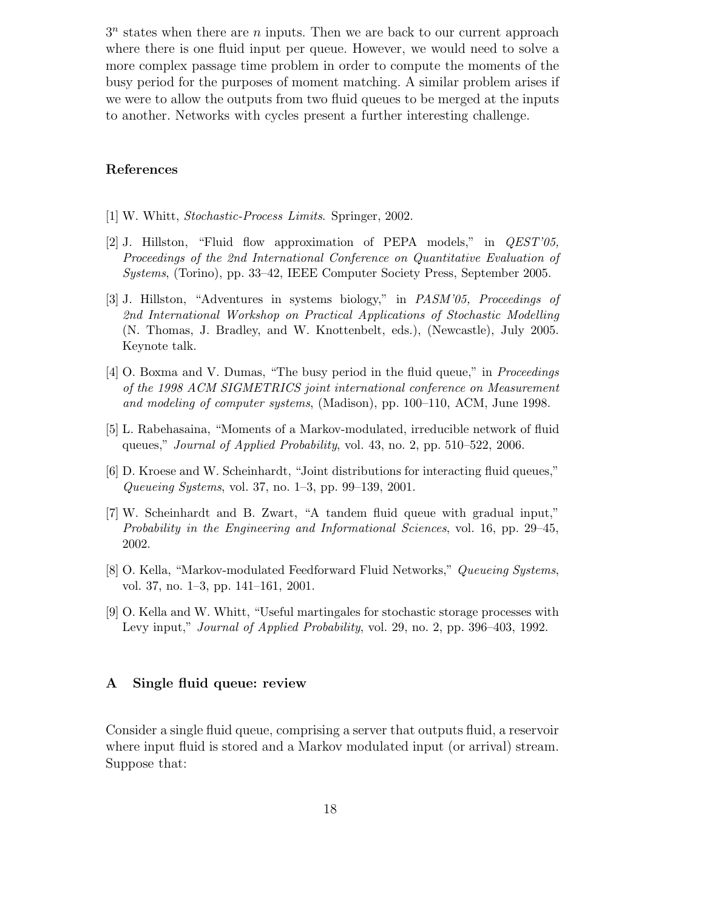$3<sup>n</sup>$  states when there are *n* inputs. Then we are back to our current approach where there is one fluid input per queue. However, we would need to solve a more complex passage time problem in order to compute the moments of the busy period for the purposes of moment matching. A similar problem arises if we were to allow the outputs from two fluid queues to be merged at the inputs to another. Networks with cycles present a further interesting challenge.

#### References

- [1] W. Whitt, Stochastic-Process Limits. Springer, 2002.
- [2] J. Hillston, "Fluid flow approximation of PEPA models," in QEST'05, Proceedings of the 2nd International Conference on Quantitative Evaluation of Systems, (Torino), pp. 33–42, IEEE Computer Society Press, September 2005.
- [3] J. Hillston, "Adventures in systems biology," in PASM'05, Proceedings of 2nd International Workshop on Practical Applications of Stochastic Modelling (N. Thomas, J. Bradley, and W. Knottenbelt, eds.), (Newcastle), July 2005. Keynote talk.
- [4] O. Boxma and V. Dumas, "The busy period in the fluid queue," in Proceedings of the 1998 ACM SIGMETRICS joint international conference on Measurement and modeling of computer systems, (Madison), pp. 100–110, ACM, June 1998.
- [5] L. Rabehasaina, "Moments of a Markov-modulated, irreducible network of fluid queues," Journal of Applied Probability, vol. 43, no. 2, pp. 510–522, 2006.
- [6] D. Kroese and W. Scheinhardt, "Joint distributions for interacting fluid queues," Queueing Systems, vol. 37, no. 1–3, pp. 99–139, 2001.
- [7] W. Scheinhardt and B. Zwart, "A tandem fluid queue with gradual input," Probability in the Engineering and Informational Sciences, vol. 16, pp. 29–45, 2002.
- [8] O. Kella, "Markov-modulated Feedforward Fluid Networks," Queueing Systems, vol. 37, no. 1–3, pp. 141–161, 2001.
- [9] O. Kella and W. Whitt, "Useful martingales for stochastic storage processes with Levy input," Journal of Applied Probability, vol. 29, no. 2, pp. 396–403, 1992.

#### A Single fluid queue: review

Consider a single fluid queue, comprising a server that outputs fluid, a reservoir where input fluid is stored and a Markov modulated input (or arrival) stream. Suppose that: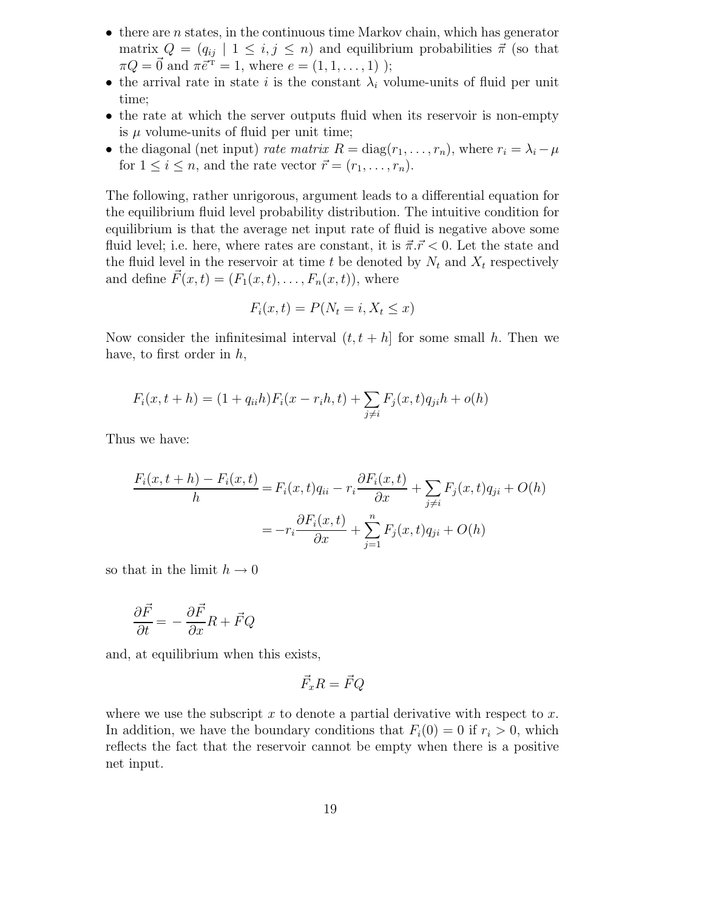- there are n states, in the continuous time Markov chain, which has generator matrix  $Q = (q_{ij} \mid 1 \leq i, j \leq n)$  and equilibrium probabilities  $\vec{\pi}$  (so that  $\pi Q = \vec{0}$  and  $\pi \vec{e}^{\text{T}} = 1$ , where  $e = (1, 1, \dots, 1)$  );
- the arrival rate in state i is the constant  $\lambda_i$  volume-units of fluid per unit time;
- the rate at which the server outputs fluid when its reservoir is non-empty is  $\mu$  volume-units of fluid per unit time;
- the diagonal (net input) rate matrix  $R = diag(r_1, \ldots, r_n)$ , where  $r_i = \lambda_i \mu$ for  $1 \leq i \leq n$ , and the rate vector  $\vec{r} = (r_1, \ldots, r_n)$ .

The following, rather unrigorous, argument leads to a differential equation for the equilibrium fluid level probability distribution. The intuitive condition for equilibrium is that the average net input rate of fluid is negative above some fluid level; i.e. here, where rates are constant, it is  $\vec{\pi} \cdot \vec{r} < 0$ . Let the state and the fluid level in the reservoir at time t be denoted by  $N_t$  and  $X_t$  respectively and define  $\vec{F}(x, t) = (F_1(x, t), \ldots, F_n(x, t))$ , where

$$
F_i(x,t) = P(N_t = i, X_t \le x)
$$

Now consider the infinitesimal interval  $(t, t + h)$  for some small h. Then we have, to first order in  $h$ ,

$$
F_i(x, t + h) = (1 + q_{ii}h)F_i(x - r_i h, t) + \sum_{j \neq i} F_j(x, t)q_{ji}h + o(h)
$$

Thus we have:

$$
\frac{F_i(x, t+h) - F_i(x, t)}{h} = F_i(x, t)q_{ii} - r_i \frac{\partial F_i(x, t)}{\partial x} + \sum_{j \neq i} F_j(x, t)q_{ji} + O(h)
$$

$$
= -r_i \frac{\partial F_i(x, t)}{\partial x} + \sum_{j=1}^n F_j(x, t)q_{ji} + O(h)
$$

so that in the limit  $h \to 0$ 

$$
\frac{\partial \vec{F}}{\partial t} = -\frac{\partial \vec{F}}{\partial x}R + \vec{F}Q
$$

and, at equilibrium when this exists,

$$
\vec{F}_x R = \vec{F} Q
$$

where we use the subscript  $x$  to denote a partial derivative with respect to  $x$ . In addition, we have the boundary conditions that  $F_i(0) = 0$  if  $r_i > 0$ , which reflects the fact that the reservoir cannot be empty when there is a positive net input.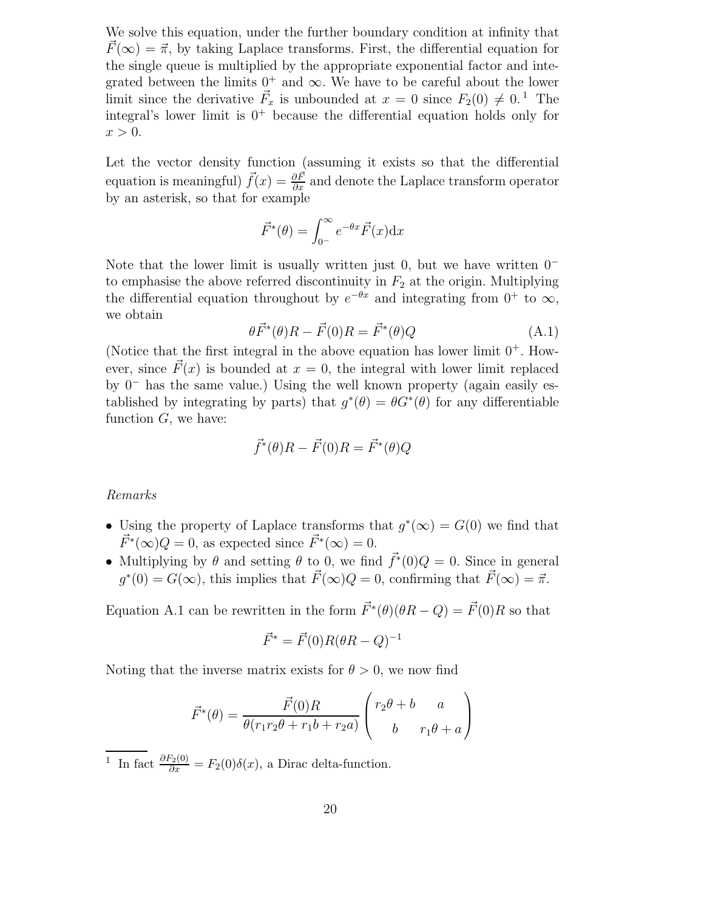We solve this equation, under the further boundary condition at infinity that  $F(\infty) = \vec{\pi}$ , by taking Laplace transforms. First, the differential equation for the single queue is multiplied by the appropriate exponential factor and integrated between the limits  $0^+$  and  $\infty$ . We have to be careful about the lower limit since the derivative  $\vec{F}_x$  is unbounded at  $x = 0$  since  $F_2(0) \neq 0$ .<sup>1</sup> The integral's lower limit is  $0^+$  because the differential equation holds only for  $x > 0$ .

Let the vector density function (assuming it exists so that the differential equation is meaningful)  $\vec{f}(x) = \frac{\partial \vec{F}}{\partial x}$  and denote the Laplace transform operator by an asterisk, so that for example

$$
\vec{F}^*(\theta) = \int_{0^-}^{\infty} e^{-\theta x} \vec{F}(x) \mathrm{d}x
$$

Note that the lower limit is usually written just 0, but we have written 0<sup>−</sup> to emphasise the above referred discontinuity in  $F<sub>2</sub>$  at the origin. Multiplying the differential equation throughout by  $e^{-\theta x}$  and integrating from  $0^+$  to  $\infty$ , we obtain

$$
\theta \vec{F}^*(\theta) R - \vec{F}(0) R = \vec{F}^*(\theta) Q \tag{A.1}
$$

(Notice that the first integral in the above equation has lower limit  $0^+$ . However, since  $\vec{F}(x)$  is bounded at  $x = 0$ , the integral with lower limit replaced by 0<sup>−</sup> has the same value.) Using the well known property (again easily established by integrating by parts) that  $g^*(\theta) = \theta G^*(\theta)$  for any differentiable function  $G$ , we have:

$$
\vec{f}^*(\theta)R - \vec{F}(0)R = \vec{F}^*(\theta)Q
$$

#### Remarks

- Using the property of Laplace transforms that  $g^*(\infty) = G(0)$  we find that  $\vec{F}^*(\infty)Q=0$ , as expected since  $\vec{F}^*(\infty)=0$ .
- Multiplying by  $\theta$  and setting  $\theta$  to 0, we find  $\vec{f}^*(0)Q = 0$ . Since in general  $g^*(0) = G(\infty)$ , this implies that  $\vec{F}(\infty)Q = 0$ , confirming that  $\vec{F}(\infty) = \vec{\pi}$ .

Equation A.1 can be rewritten in the form  $\vec{F}^*(\theta)(\theta R - Q) = \vec{F}(0)R$  so that

$$
\vec{F}^* = \vec{F}(0)R(\theta R - Q)^{-1}
$$

Noting that the inverse matrix exists for  $\theta > 0$ , we now find

$$
\vec{F}^*(\theta) = \frac{\vec{F}(0)R}{\theta(r_1r_2\theta + r_1b + r_2a)} \begin{pmatrix} r_2\theta + b & a \\ b & r_1\theta + a \end{pmatrix}
$$

<sup>1</sup> In fact  $\frac{\partial F_2(0)}{\partial x} = F_2(0)\delta(x)$ , a Dirac delta-function.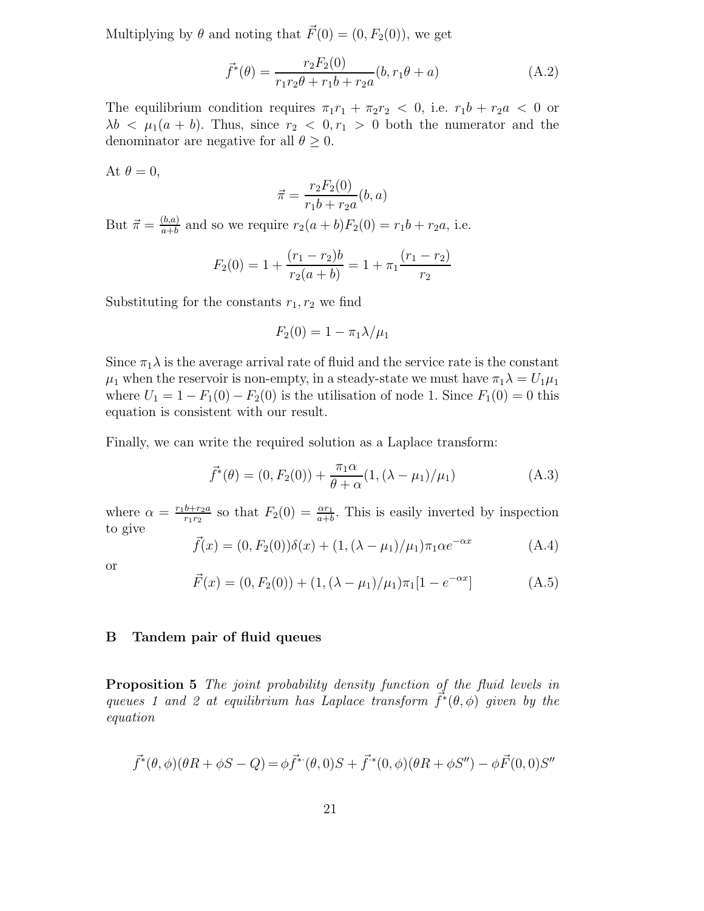Multiplying by  $\theta$  and noting that  $\vec{F}(0) = (0, F_2(0))$ , we get

$$
\vec{f}^*(\theta) = \frac{r_2 F_2(0)}{r_1 r_2 \theta + r_1 b + r_2 a} (b, r_1 \theta + a)
$$
\n(A.2)

The equilibrium condition requires  $\pi_1 r_1 + \pi_2 r_2 < 0$ , i.e.  $r_1 b + r_2 a < 0$  or  $\lambda b \leq \mu_1(a+b)$ . Thus, since  $r_2 \leq 0, r_1 > 0$  both the numerator and the denominator are negative for all  $\theta \geq 0$ .

At  $\theta = 0$ ,

$$
\vec{\pi} = \frac{r_2 F_2(0)}{r_1 b + r_2 a}(b, a)
$$

But  $\vec{\pi} = \frac{(b,a)}{a+b}$  $\frac{(b,a)}{a+b}$  and so we require  $r_2(a+b)F_2(0) = r_1b + r_2a$ , i.e.

$$
F_2(0) = 1 + \frac{(r_1 - r_2)b}{r_2(a+b)} = 1 + \pi_1 \frac{(r_1 - r_2)}{r_2}
$$

Substituting for the constants  $r_1, r_2$  we find

$$
F_2(0) = 1 - \pi_1 \lambda / \mu_1
$$

Since  $\pi_1 \lambda$  is the average arrival rate of fluid and the service rate is the constant  $\mu_1$  when the reservoir is non-empty, in a steady-state we must have  $\pi_1 \lambda = U_1 \mu_1$ where  $U_1 = 1 - F_1(0) - F_2(0)$  is the utilisation of node 1. Since  $F_1(0) = 0$  this equation is consistent with our result.

Finally, we can write the required solution as a Laplace transform:

$$
\vec{f}^*(\theta) = (0, F_2(0)) + \frac{\pi_1 \alpha}{\theta + \alpha} (1, (\lambda - \mu_1)/\mu_1)
$$
\n(A.3)

where  $\alpha = \frac{r_1b+r_2a}{r_1r_2}$  $\frac{b+r_2a}{r_1r_2}$  so that  $F_2(0) = \frac{\alpha r_1}{a+b}$ . This is easily inverted by inspection to give

$$
\vec{f}(x) = (0, F_2(0))\delta(x) + (1, (\lambda - \mu_1)/\mu_1)\pi_1 \alpha e^{-\alpha x}
$$
 (A.4)

or

$$
\vec{F}(x) = (0, F_2(0)) + (1, (\lambda - \mu_1)/\mu_1)\pi_1[1 - e^{-\alpha x}]
$$
\n(A.5)

#### B Tandem pair of fluid queues

Proposition 5 The joint probability density function of the fluid levels in queues 1 and 2 at equilibrium has Laplace transform  $\vec{f}^*(\theta,\phi)$  given by the equation

$$
\vec{f}^*(\theta,\phi)(\theta R + \phi S - Q) = \phi \vec{f}^*(\theta,0)S + \vec{f}^*(0,\phi)(\theta R + \phi S'') - \phi \vec{F}(0,0)S''
$$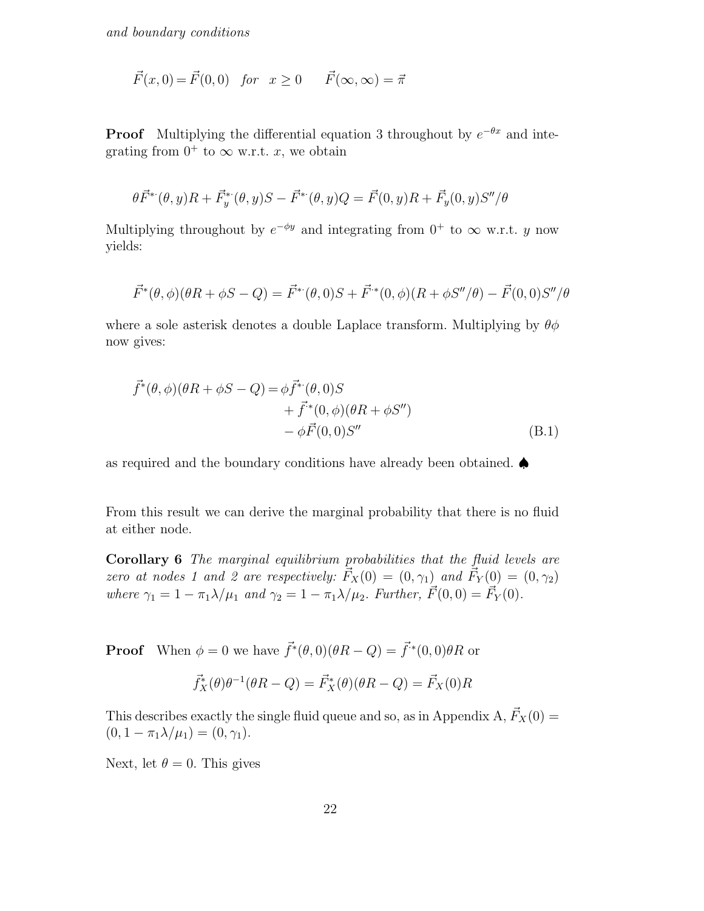$$
\vec{F}(x,0) = \vec{F}(0,0) \quad \text{for} \quad x \ge 0 \qquad \vec{F}(\infty,\infty) = \vec{\pi}
$$

**Proof** Multiplying the differential equation 3 throughout by  $e^{-\theta x}$  and integrating from  $0^+$  to  $\infty$  w.r.t. x, we obtain

$$
\theta \vec{F}^* (\theta, y) R + \vec{F}_y^* (\theta, y) S - \vec{F}^* (\theta, y) Q = \vec{F}(0, y) R + \vec{F}_y(0, y) S'' / \theta
$$

Multiplying throughout by  $e^{-\phi y}$  and integrating from  $0^+$  to  $\infty$  w.r.t. y now yields:

$$
\vec{F}^*(\theta,\phi)(\theta R + \phi S - Q) = \vec{F}^*(\theta,0)S + \vec{F}^*(0,\phi)(R + \phi S''/\theta) - \vec{F}(0,0)S''/\theta
$$

where a sole asterisk denotes a double Laplace transform. Multiplying by  $\theta\phi$ now gives:

$$
\vec{f}^*(\theta, \phi)(\theta R + \phi S - Q) = \phi \vec{f}^*(\theta, 0)S \n+ \vec{f}^*(0, \phi)(\theta R + \phi S'') \n- \phi \vec{F}(0, 0)S''
$$
\n(B.1)

as required and the boundary conditions have already been obtained. ♠

From this result we can derive the marginal probability that there is no fluid at either node.

Corollary 6 The marginal equilibrium probabilities that the fluid levels are zero at nodes 1 and 2 are respectively:  $\vec{F}_X(0) = (0, \gamma_1)$  and  $\vec{F}_Y(0) = (0, \gamma_2)$ where  $\gamma_1 = 1 - \pi_1 \lambda / \mu_1$  and  $\gamma_2 = 1 - \pi_1 \lambda / \mu_2$ . Further,  $\vec{F}(0,0) = \vec{F}_Y(0)$ .

**Proof** When  $\phi = 0$  we have  $\vec{f}^*(\theta,0)(\theta R - Q) = \vec{f}^*(0,0)\theta R$  or

$$
\vec{f}_X^*(\theta)\theta^{-1}(\theta R - Q) = \vec{F}_X^*(\theta)(\theta R - Q) = \vec{F}_X(0)R
$$

This describes exactly the single fluid queue and so, as in Appendix A,  $\vec{F}_X(0) =$  $(0, 1 - \pi_1 \lambda / \mu_1) = (0, \gamma_1).$ 

Next, let  $\theta = 0$ . This gives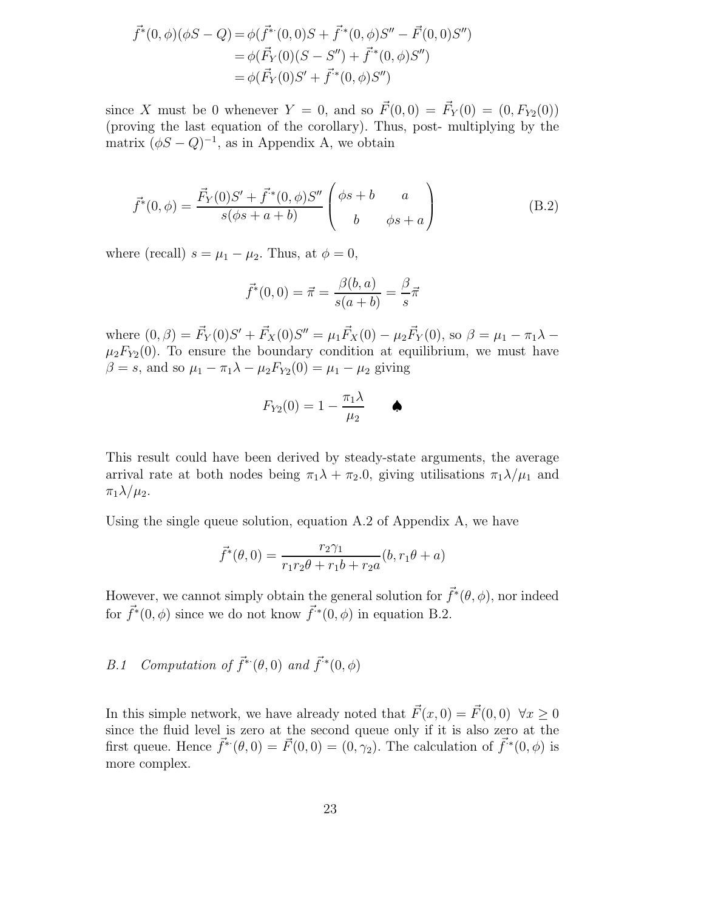$$
\vec{f}^*(0, \phi)(\phi S - Q) = \phi(\vec{f}^*(0, 0)S + \vec{f}^*(0, \phi)S'' - \vec{F}(0, 0)S'')
$$
  
=  $\phi(\vec{F}_Y(0)(S - S'') + \vec{f}^*(0, \phi)S'')$   
=  $\phi(\vec{F}_Y(0)S' + \vec{f}^*(0, \phi)S'')$ 

since X must be 0 whenever  $Y = 0$ , and so  $\vec{F}(0,0) = \vec{F}_Y(0) = (0, F_{Y2}(0))$ (proving the last equation of the corollary). Thus, post- multiplying by the matrix  $(\phi S - Q)^{-1}$ , as in Appendix A, we obtain

$$
\vec{f}^*(0,\phi) = \frac{\vec{F}_Y(0)S' + \vec{f}^*(0,\phi)S''}{s(\phi s + a + b)} \begin{pmatrix} \phi s + b & a \\ b & \phi s + a \end{pmatrix}
$$
(B.2)

where (recall)  $s = \mu_1 - \mu_2$ . Thus, at  $\phi = 0$ ,

$$
\vec{f}^*(0,0) = \vec{\pi} = \frac{\beta(b,a)}{s(a+b)} = \frac{\beta}{s}\vec{\pi}
$$

where  $(0, \beta) = \vec{F}_Y(0)S' + \vec{F}_X(0)S'' = \mu_1 \vec{F}_X(0) - \mu_2 \vec{F}_Y(0)$ , so  $\beta = \mu_1 - \pi_1 \lambda$  $\mu_2 F_{Y2}(0)$ . To ensure the boundary condition at equilibrium, we must have  $\beta = s$ , and so  $\mu_1 - \pi_1 \lambda - \mu_2 F_{Y2}(0) = \mu_1 - \mu_2$  giving

$$
F_{Y2}(0) = 1 - \frac{\pi_1 \lambda}{\mu_2} \qquad \spadesuit
$$

This result could have been derived by steady-state arguments, the average arrival rate at both nodes being  $\pi_1 \lambda + \pi_2 \cdot 0$ , giving utilisations  $\pi_1 \lambda / \mu_1$  and  $\pi_1\lambda/\mu_2$ .

Using the single queue solution, equation A.2 of Appendix A, we have

$$
\vec{f}^*(\theta,0) = \frac{r_2 \gamma_1}{r_1 r_2 \theta + r_1 b + r_2 a}(b, r_1 \theta + a)
$$

However, we cannot simply obtain the general solution for  $\vec{f}^*(\theta, \phi)$ , nor indeed for  $\vec{f}^*(0, \phi)$  since we do not know  $\vec{f}^*(0, \phi)$  in equation B.2.

B.1 Computation of  $\vec{f}^*(\theta,0)$  and  $\vec{f}^*(0,\phi)$ 

In this simple network, we have already noted that  $\vec{F}(x, 0) = \vec{F}(0, 0) \quad \forall x \ge 0$ since the fluid level is zero at the second queue only if it is also zero at the first queue. Hence  $\vec{f}^*(\theta,0) = \vec{F}(0,0) = (0,\gamma_2)$ . The calculation of  $\vec{f}^*(0,\phi)$  is more complex.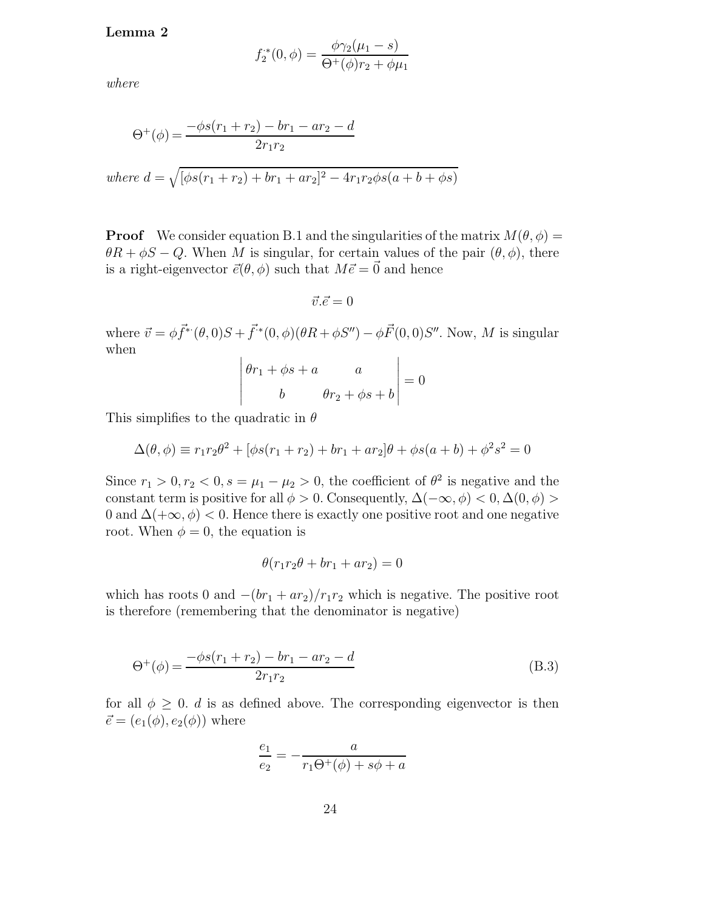Lemma 2

$$
f_2^*(0, \phi) = \frac{\phi \gamma_2(\mu_1 - s)}{\Theta^+(\phi)r_2 + \phi \mu_1}
$$

where

$$
\Theta^{+}(\phi) = \frac{-\phi s(r_1 + r_2) - br_1 - ar_2 - d}{2r_1r_2}
$$
  
where  $d = \sqrt{[\phi s(r_1 + r_2) + br_1 + ar_2]^2 - 4r_1r_2\phi s(a + b + \phi s)}$ 

**Proof** We consider equation B.1 and the singularities of the matrix  $M(\theta, \phi) =$  $\theta R + \phi S - Q$ . When M is singular, for certain values of the pair  $(\theta, \phi)$ , there is a right-eigenvector  $\vec{e}(\theta, \phi)$  such that  $M\vec{e} = \vec{0}$  and hence

 $\vec{v} \cdot \vec{e} = 0$ 

where  $\vec{v} = \phi \vec{f}^*(\theta, 0)S + \vec{f}^*(0, \phi)(\theta R + \phi S'') - \phi \vec{F}(0, 0)S''$ . Now, M is singular when

$$
\begin{vmatrix} \theta r_1 + \phi s + a & a \\ b & \theta r_2 + \phi s + b \end{vmatrix} = 0
$$

This simplifies to the quadratic in  $\theta$ 

$$
\Delta(\theta, \phi) \equiv r_1 r_2 \theta^2 + [\phi s (r_1 + r_2) + br_1 + ar_2] \theta + \phi s (a + b) + \phi^2 s^2 = 0
$$

Since  $r_1 > 0, r_2 < 0, s = \mu_1 - \mu_2 > 0$ , the coefficient of  $\theta^2$  is negative and the constant term is positive for all  $\phi > 0$ . Consequently,  $\Delta(-\infty, \phi) < 0$ ,  $\Delta(0, \phi) >$ 0 and  $\Delta(+\infty, \phi)$  < 0. Hence there is exactly one positive root and one negative root. When  $\phi = 0$ , the equation is

$$
\theta(r_1r_2\theta + br_1 + ar_2) = 0
$$

which has roots 0 and  $-(br_1 + ar_2)/r_1r_2$  which is negative. The positive root is therefore (remembering that the denominator is negative)

$$
\Theta^{+}(\phi) = \frac{-\phi s (r_1 + r_2) - b r_1 - a r_2 - d}{2 r_1 r_2} \tag{B.3}
$$

for all  $\phi \geq 0$ . d is as defined above. The corresponding eigenvector is then  $\vec{e} = (e_1(\phi), e_2(\phi))$  where

$$
\frac{e_1}{e_2} = -\frac{a}{r_1 \Theta^+(\phi) + s\phi + a}
$$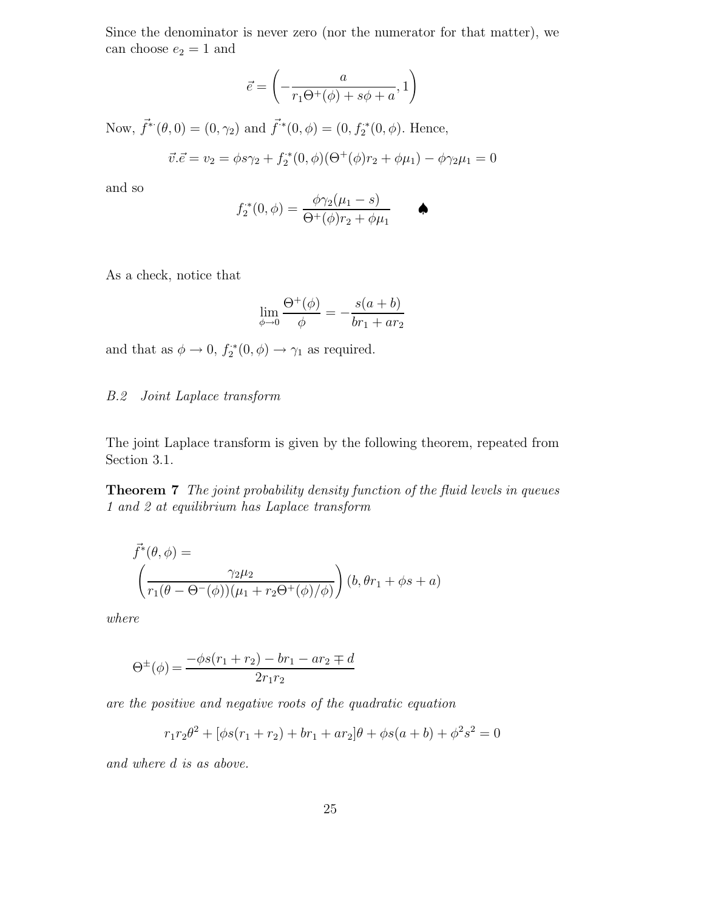Since the denominator is never zero (nor the numerator for that matter), we can choose  $e_2 = 1$  and

$$
\vec{e} = \left( -\frac{a}{r_1 \Theta^+(\phi) + s\phi + a}, 1 \right)
$$

Now,  $\vec{f}^*(\theta,0) = (0,\gamma_2)$  and  $\vec{f}^*(0,\phi) = (0,f_2^*(0,\phi))$ . Hence,

$$
\vec{v} \cdot \vec{e} = v_2 = \phi s \gamma_2 + f_2^*(0, \phi)(\Theta^+(\phi)r_2 + \phi \mu_1) - \phi \gamma_2 \mu_1 = 0
$$

and so

$$
f_2^*(0, \phi) = \frac{\phi \gamma_2(\mu_1 - s)}{\Theta^+(\phi)r_2 + \phi \mu_1} \qquad \spadesuit
$$

As a check, notice that

$$
\lim_{\phi \to 0} \frac{\Theta^+(\phi)}{\phi} = -\frac{s(a+b)}{br_1 + ar_2}
$$

and that as  $\phi \to 0$ ,  $f_2^*(0, \phi) \to \gamma_1$  as required.

## B.2 Joint Laplace transform

The joint Laplace transform is given by the following theorem, repeated from Section 3.1.

Theorem 7 The joint probability density function of the fluid levels in queues 1 and 2 at equilibrium has Laplace transform

$$
\vec{f}^*(\theta,\phi) =
$$
\n
$$
\left(\frac{\gamma_2\mu_2}{r_1(\theta-\Theta^-(\phi))(\mu_1+r_2\Theta^+(\phi)/\phi)}\right)(b,\theta r_1+\phi s+a)
$$

where

$$
\Theta^{\pm}(\phi) = \frac{-\phi s (r_1 + r_2) - br_1 - ar_2 \mp d}{2r_1r_2}
$$

are the positive and negative roots of the quadratic equation

$$
r_1r_2\theta^2 + [\phi s(r_1 + r_2) + br_1 + ar_2]\theta + \phi s(a+b) + \phi^2 s^2 = 0
$$

and where d is as above.